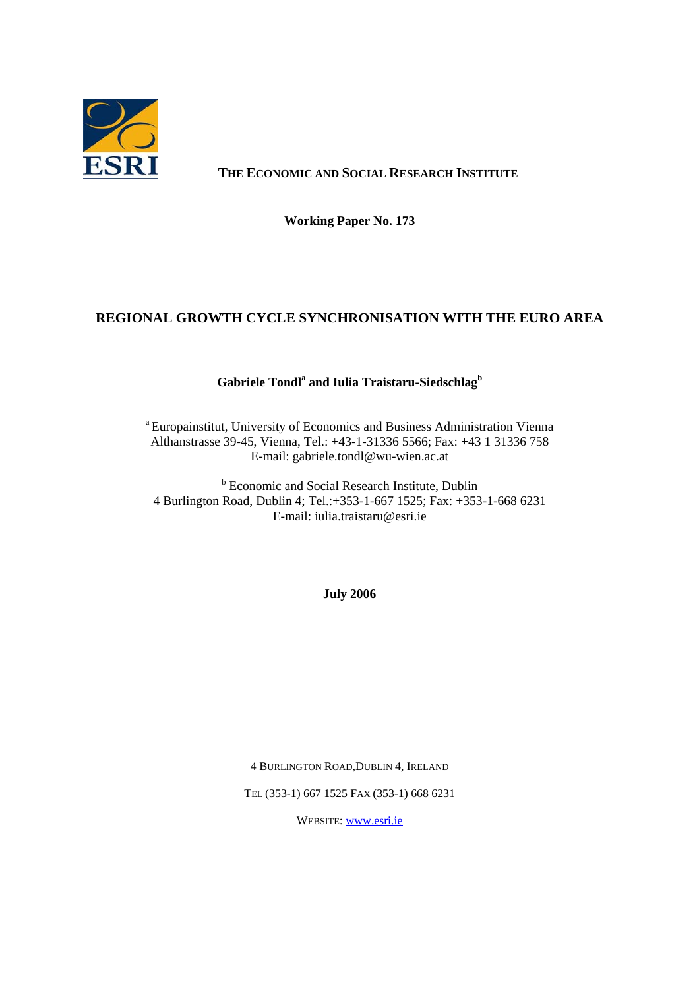

## **THE ECONOMIC AND SOCIAL RESEARCH INSTITUTE**

**Working Paper No. 173**

## **REGIONAL GROWTH CYCLE SYNCHRONISATION WITH THE EURO AREA**

### $\mathbf G$ abriele  $\mathbf T$ ondl $^\mathrm{a}$  and Iulia Traistaru-Siedschlag $^\mathrm{b}$

<sup>a</sup> Europainstitut, University of Economics and Business Administration Vienna Althanstrasse 39-45, Vienna, Tel.: +43-1-31336 5566; Fax: +43 1 31336 758 E-mail: gabriele.tondl@wu-wien.ac.at

**b** Economic and Social Research Institute, Dublin 4 Burlington Road, Dublin 4; Tel.:+353-1-667 1525; Fax: +353-1-668 6231 E-mail: iulia.traistaru@esri.ie

**July 2006** 

4 BURLINGTON ROAD,DUBLIN 4, IRELAND

TEL (353-1) 667 1525 FAX (353-1) 668 6231

WEBSITE: [www.esri.ie](http://www.esri.ie/)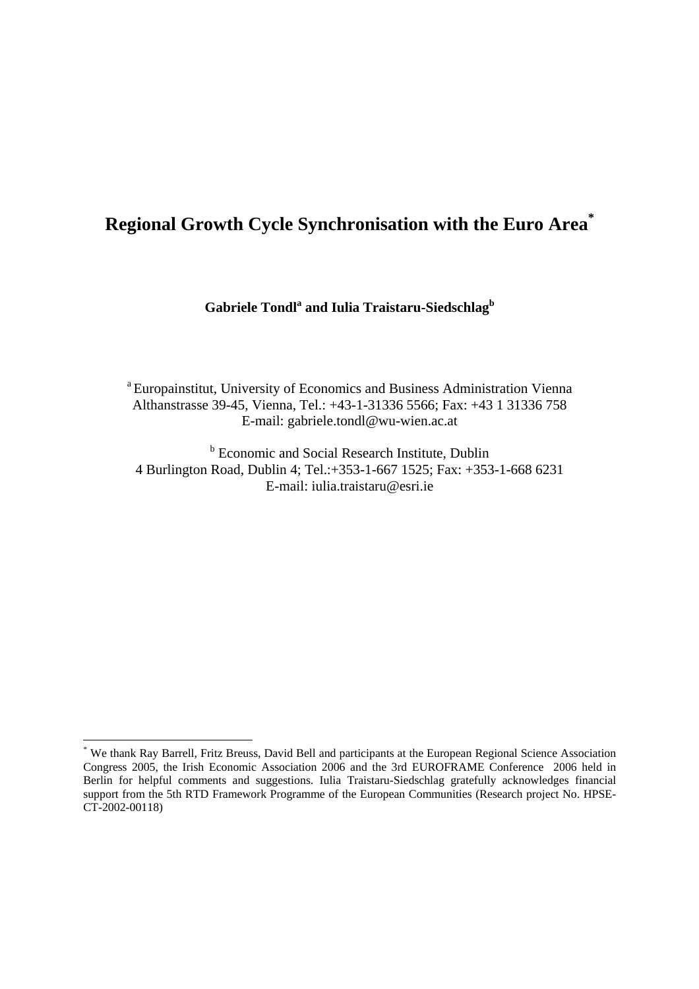# **Regional Growth Cycle Synchronisation with the Euro Are[a\\*](#page-1-0)**

**Gabriele Tondl<sup>a</sup> and Iulia Traistaru-Siedschlagb** 

<sup>a</sup> Europainstitut, University of Economics and Business Administration Vienna Althanstrasse 39-45, Vienna, Tel.: +43-1-31336 5566; Fax: +43 1 31336 758 E-mail: gabriele.tondl@wu-wien.ac.at

**b** Economic and Social Research Institute, Dublin 4 Burlington Road, Dublin 4; Tel.:+353-1-667 1525; Fax: +353-1-668 6231 E-mail: iulia.traistaru@esri.ie

 $\overline{a}$ 

<span id="page-1-0"></span><sup>\*</sup> We thank Ray Barrell, Fritz Breuss, David Bell and participants at the European Regional Science Association Congress 2005, the Irish Economic Association 2006 and the 3rd EUROFRAME Conference 2006 held in Berlin for helpful comments and suggestions. Iulia Traistaru-Siedschlag gratefully acknowledges financial support from the 5th RTD Framework Programme of the European Communities (Research project No. HPSE-CT-2002-00118)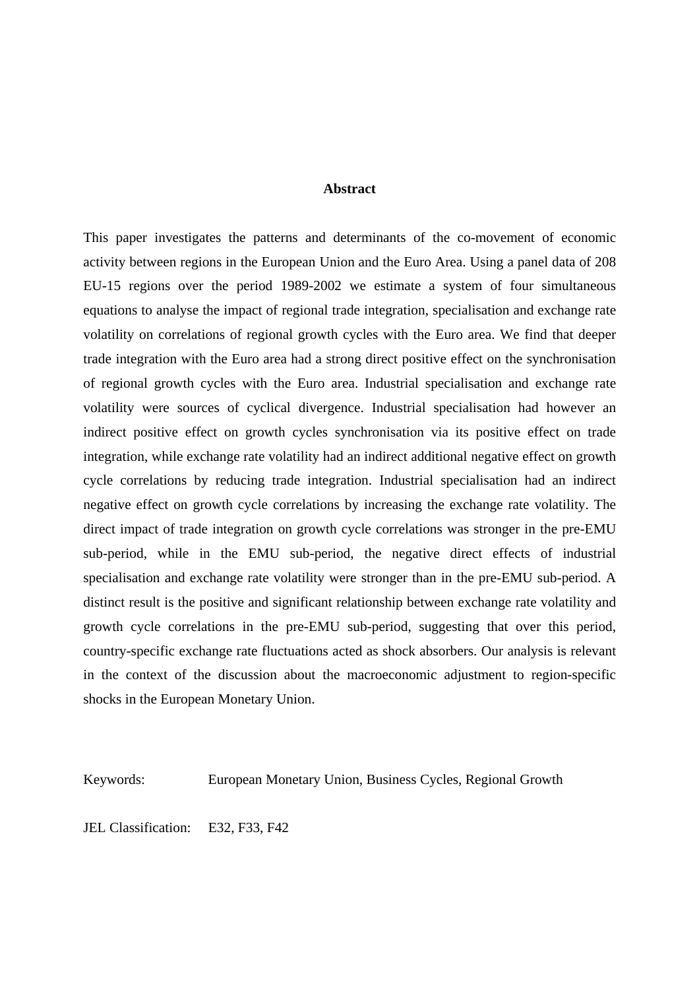## **Abstract**

This paper investigates the patterns and determinants of the co-movement of economic activity between regions in the European Union and the Euro Area. Using a panel data of 208 EU-15 regions over the period 1989-2002 we estimate a system of four simultaneous equations to analyse the impact of regional trade integration, specialisation and exchange rate volatility on correlations of regional growth cycles with the Euro area. We find that deeper trade integration with the Euro area had a strong direct positive effect on the synchronisation of regional growth cycles with the Euro area. Industrial specialisation and exchange rate volatility were sources of cyclical divergence. Industrial specialisation had however an indirect positive effect on growth cycles synchronisation via its positive effect on trade integration, while exchange rate volatility had an indirect additional negative effect on growth cycle correlations by reducing trade integration. Industrial specialisation had an indirect negative effect on growth cycle correlations by increasing the exchange rate volatility. The direct impact of trade integration on growth cycle correlations was stronger in the pre-EMU sub-period, while in the EMU sub-period, the negative direct effects of industrial specialisation and exchange rate volatility were stronger than in the pre-EMU sub-period. A distinct result is the positive and significant relationship between exchange rate volatility and growth cycle correlations in the pre-EMU sub-period, suggesting that over this period, country-specific exchange rate fluctuations acted as shock absorbers. Our analysis is relevant in the context of the discussion about the macroeconomic adjustment to region-specific shocks in the European Monetary Union.

Keywords: European Monetary Union, Business Cycles, Regional Growth

JEL Classification: E32, F33, F42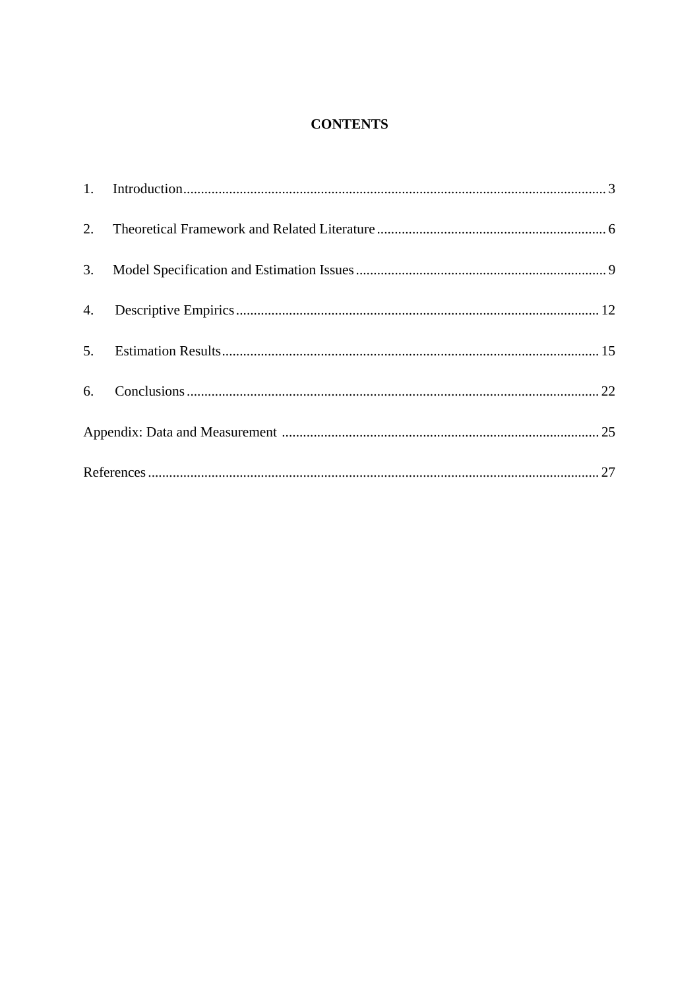## **CONTENTS**

| 2. |  |  |  |
|----|--|--|--|
| 3. |  |  |  |
| 4. |  |  |  |
| 5. |  |  |  |
|    |  |  |  |
|    |  |  |  |
|    |  |  |  |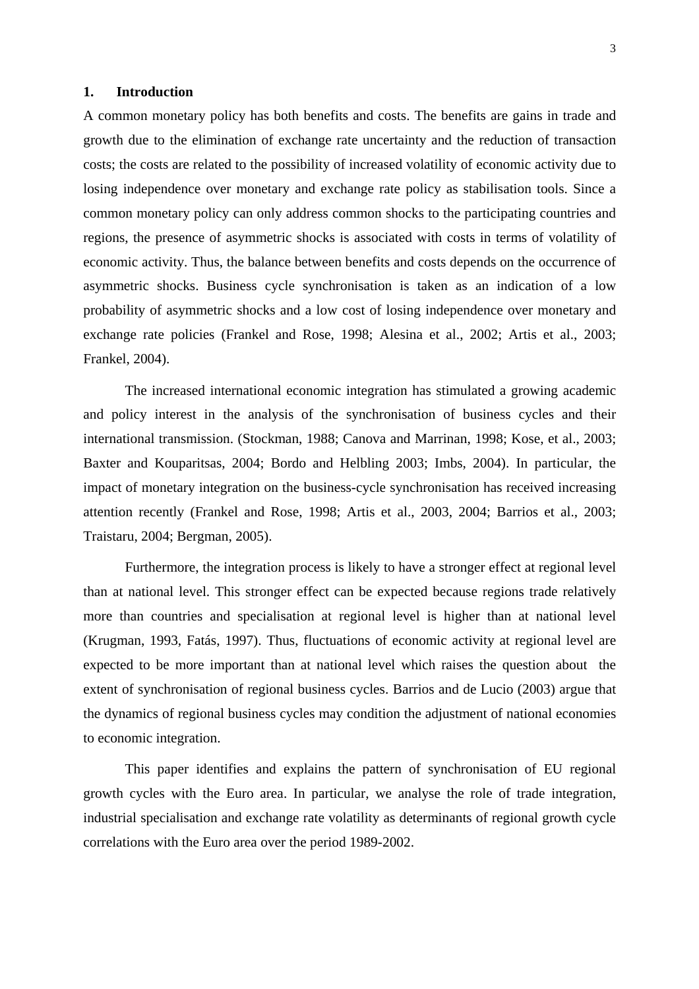### **1. Introduction**

A common monetary policy has both benefits and costs. The benefits are gains in trade and growth due to the elimination of exchange rate uncertainty and the reduction of transaction costs; the costs are related to the possibility of increased volatility of economic activity due to losing independence over monetary and exchange rate policy as stabilisation tools. Since a common monetary policy can only address common shocks to the participating countries and regions, the presence of asymmetric shocks is associated with costs in terms of volatility of economic activity. Thus, the balance between benefits and costs depends on the occurrence of asymmetric shocks. Business cycle synchronisation is taken as an indication of a low probability of asymmetric shocks and a low cost of losing independence over monetary and exchange rate policies (Frankel and Rose, 1998; Alesina et al., 2002; Artis et al., 2003; Frankel, 2004).

The increased international economic integration has stimulated a growing academic and policy interest in the analysis of the synchronisation of business cycles and their international transmission. (Stockman, 1988; Canova and Marrinan, 1998; Kose, et al., 2003; Baxter and Kouparitsas, 2004; Bordo and Helbling 2003; Imbs, 2004). In particular, the impact of monetary integration on the business-cycle synchronisation has received increasing attention recently (Frankel and Rose, 1998; Artis et al., 2003, 2004; Barrios et al., 2003; Traistaru, 2004; Bergman, 2005).

Furthermore, the integration process is likely to have a stronger effect at regional level than at national level. This stronger effect can be expected because regions trade relatively more than countries and specialisation at regional level is higher than at national level (Krugman, 1993, Fatás, 1997). Thus, fluctuations of economic activity at regional level are expected to be more important than at national level which raises the question about the extent of synchronisation of regional business cycles. Barrios and de Lucio (2003) argue that the dynamics of regional business cycles may condition the adjustment of national economies to economic integration.

This paper identifies and explains the pattern of synchronisation of EU regional growth cycles with the Euro area. In particular, we analyse the role of trade integration, industrial specialisation and exchange rate volatility as determinants of regional growth cycle correlations with the Euro area over the period 1989-2002.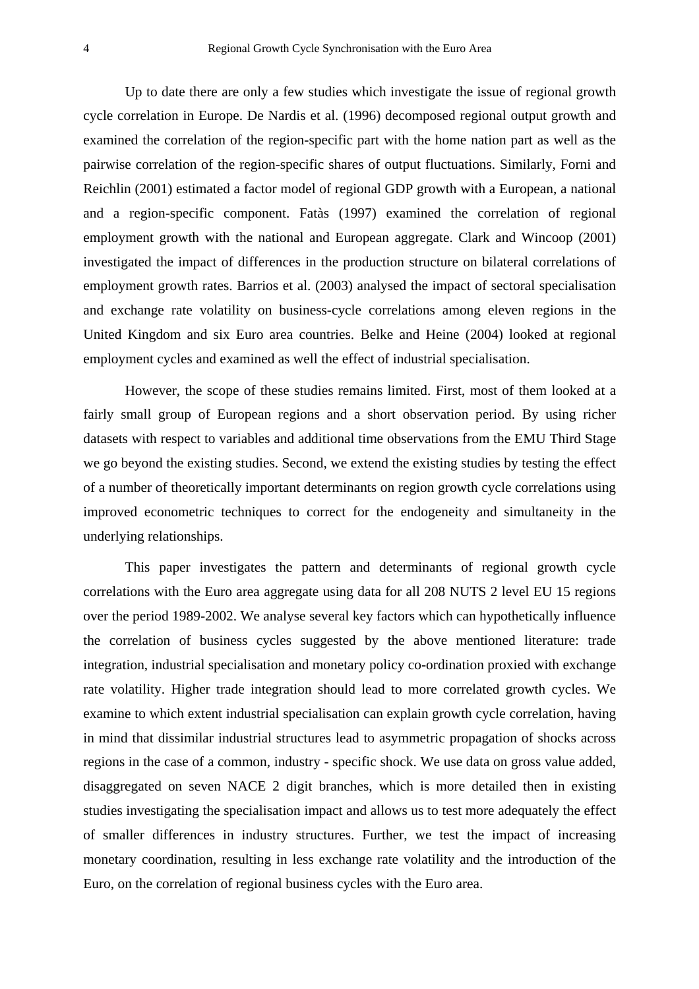Up to date there are only a few studies which investigate the issue of regional growth cycle correlation in Europe. De Nardis et al. (1996) decomposed regional output growth and examined the correlation of the region-specific part with the home nation part as well as the pairwise correlation of the region-specific shares of output fluctuations. Similarly, Forni and Reichlin (2001) estimated a factor model of regional GDP growth with a European, a national and a region-specific component. Fatàs (1997) examined the correlation of regional employment growth with the national and European aggregate. Clark and Wincoop (2001) investigated the impact of differences in the production structure on bilateral correlations of employment growth rates. Barrios et al. (2003) analysed the impact of sectoral specialisation and exchange rate volatility on business-cycle correlations among eleven regions in the United Kingdom and six Euro area countries. Belke and Heine (2004) looked at regional employment cycles and examined as well the effect of industrial specialisation.

However, the scope of these studies remains limited. First, most of them looked at a fairly small group of European regions and a short observation period. By using richer datasets with respect to variables and additional time observations from the EMU Third Stage we go beyond the existing studies. Second, we extend the existing studies by testing the effect of a number of theoretically important determinants on region growth cycle correlations using improved econometric techniques to correct for the endogeneity and simultaneity in the underlying relationships.

This paper investigates the pattern and determinants of regional growth cycle correlations with the Euro area aggregate using data for all 208 NUTS 2 level EU 15 regions over the period 1989-2002. We analyse several key factors which can hypothetically influence the correlation of business cycles suggested by the above mentioned literature: trade integration, industrial specialisation and monetary policy co-ordination proxied with exchange rate volatility. Higher trade integration should lead to more correlated growth cycles. We examine to which extent industrial specialisation can explain growth cycle correlation, having in mind that dissimilar industrial structures lead to asymmetric propagation of shocks across regions in the case of a common, industry - specific shock. We use data on gross value added, disaggregated on seven NACE 2 digit branches, which is more detailed then in existing studies investigating the specialisation impact and allows us to test more adequately the effect of smaller differences in industry structures. Further, we test the impact of increasing monetary coordination, resulting in less exchange rate volatility and the introduction of the Euro, on the correlation of regional business cycles with the Euro area.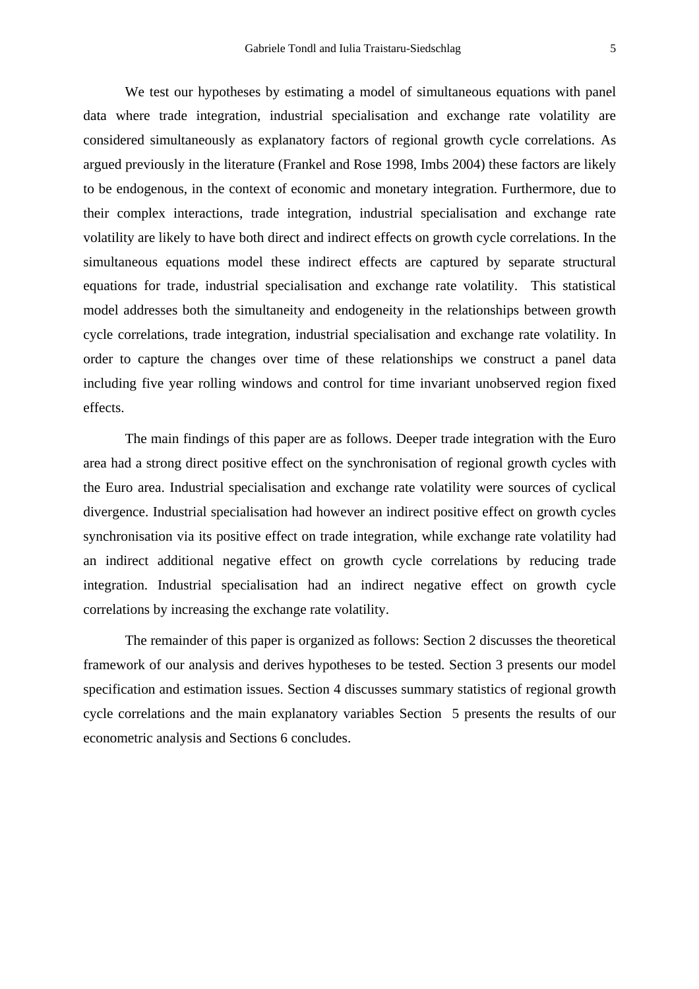We test our hypotheses by estimating a model of simultaneous equations with panel data where trade integration, industrial specialisation and exchange rate volatility are considered simultaneously as explanatory factors of regional growth cycle correlations. As argued previously in the literature (Frankel and Rose 1998, Imbs 2004) these factors are likely to be endogenous, in the context of economic and monetary integration. Furthermore, due to their complex interactions, trade integration, industrial specialisation and exchange rate volatility are likely to have both direct and indirect effects on growth cycle correlations. In the simultaneous equations model these indirect effects are captured by separate structural equations for trade, industrial specialisation and exchange rate volatility. This statistical model addresses both the simultaneity and endogeneity in the relationships between growth cycle correlations, trade integration, industrial specialisation and exchange rate volatility. In order to capture the changes over time of these relationships we construct a panel data including five year rolling windows and control for time invariant unobserved region fixed effects.

The main findings of this paper are as follows. Deeper trade integration with the Euro area had a strong direct positive effect on the synchronisation of regional growth cycles with the Euro area. Industrial specialisation and exchange rate volatility were sources of cyclical divergence. Industrial specialisation had however an indirect positive effect on growth cycles synchronisation via its positive effect on trade integration, while exchange rate volatility had an indirect additional negative effect on growth cycle correlations by reducing trade integration. Industrial specialisation had an indirect negative effect on growth cycle correlations by increasing the exchange rate volatility.

The remainder of this paper is organized as follows: Section 2 discusses the theoretical framework of our analysis and derives hypotheses to be tested. Section 3 presents our model specification and estimation issues. Section 4 discusses summary statistics of regional growth cycle correlations and the main explanatory variables Section 5 presents the results of our econometric analysis and Sections 6 concludes.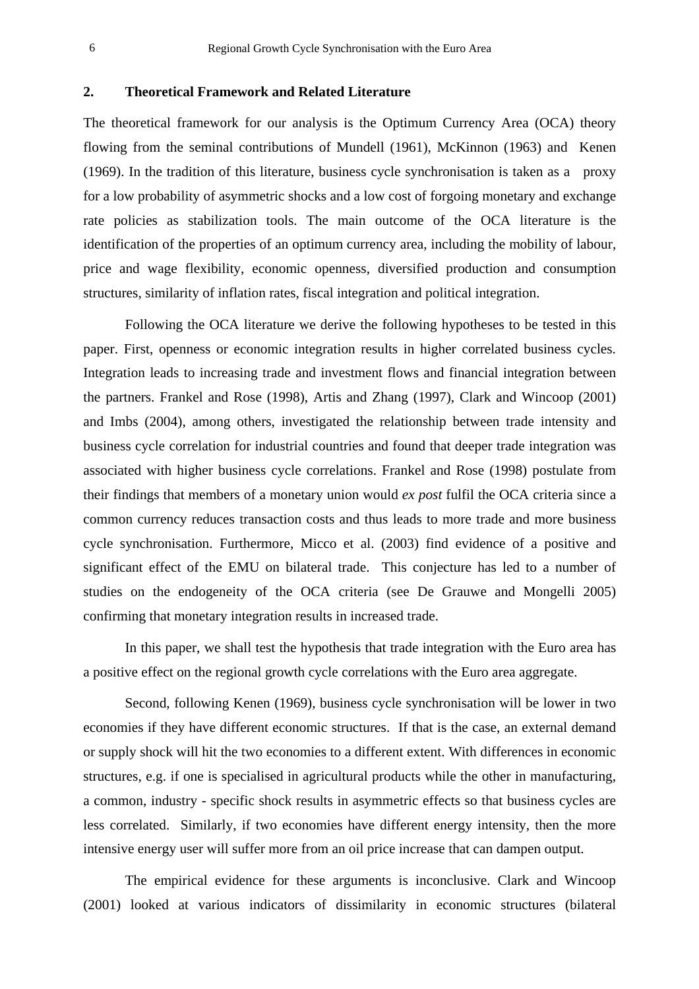## **2. Theoretical Framework and Related Literature**

The theoretical framework for our analysis is the Optimum Currency Area (OCA) theory flowing from the seminal contributions of Mundell (1961), McKinnon (1963) and Kenen (1969). In the tradition of this literature, business cycle synchronisation is taken as a proxy for a low probability of asymmetric shocks and a low cost of forgoing monetary and exchange rate policies as stabilization tools. The main outcome of the OCA literature is the identification of the properties of an optimum currency area, including the mobility of labour, price and wage flexibility, economic openness, diversified production and consumption structures, similarity of inflation rates, fiscal integration and political integration.

Following the OCA literature we derive the following hypotheses to be tested in this paper. First, openness or economic integration results in higher correlated business cycles. Integration leads to increasing trade and investment flows and financial integration between the partners. Frankel and Rose (1998), Artis and Zhang (1997), Clark and Wincoop (2001) and Imbs (2004), among others, investigated the relationship between trade intensity and business cycle correlation for industrial countries and found that deeper trade integration was associated with higher business cycle correlations. Frankel and Rose (1998) postulate from their findings that members of a monetary union would *ex post* fulfil the OCA criteria since a common currency reduces transaction costs and thus leads to more trade and more business cycle synchronisation. Furthermore, Micco et al. (2003) find evidence of a positive and significant effect of the EMU on bilateral trade. This conjecture has led to a number of studies on the endogeneity of the OCA criteria (see De Grauwe and Mongelli 2005) confirming that monetary integration results in increased trade.

In this paper, we shall test the hypothesis that trade integration with the Euro area has a positive effect on the regional growth cycle correlations with the Euro area aggregate.

Second, following Kenen (1969), business cycle synchronisation will be lower in two economies if they have different economic structures. If that is the case, an external demand or supply shock will hit the two economies to a different extent. With differences in economic structures, e.g. if one is specialised in agricultural products while the other in manufacturing, a common, industry - specific shock results in asymmetric effects so that business cycles are less correlated. Similarly, if two economies have different energy intensity, then the more intensive energy user will suffer more from an oil price increase that can dampen output.

The empirical evidence for these arguments is inconclusive. Clark and Wincoop (2001) looked at various indicators of dissimilarity in economic structures (bilateral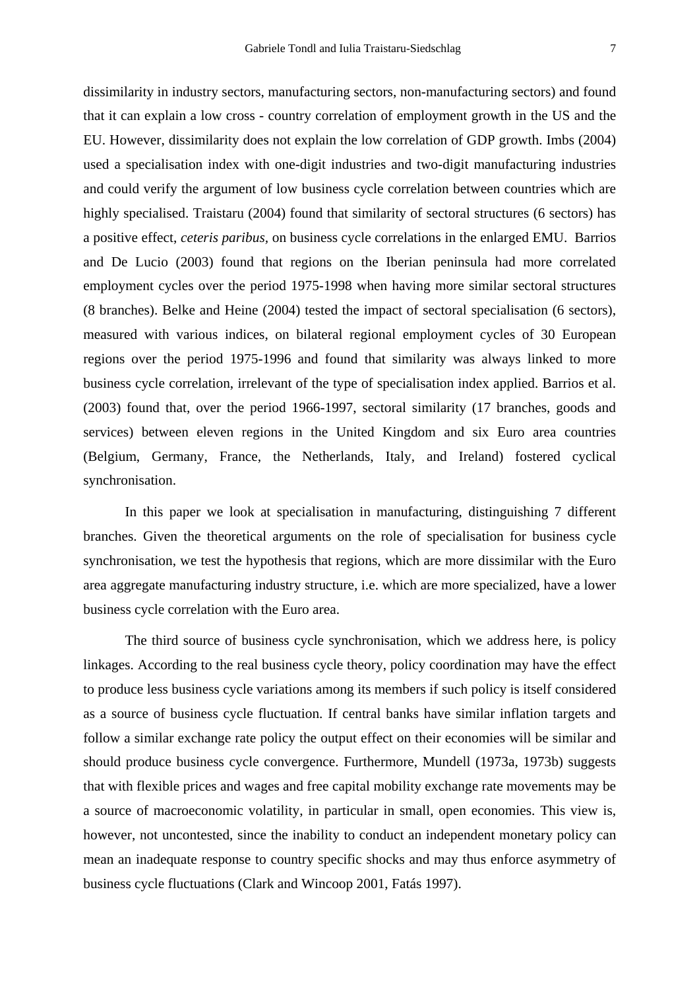dissimilarity in industry sectors, manufacturing sectors, non-manufacturing sectors) and found that it can explain a low cross - country correlation of employment growth in the US and the EU. However, dissimilarity does not explain the low correlation of GDP growth. Imbs (2004) used a specialisation index with one-digit industries and two-digit manufacturing industries and could verify the argument of low business cycle correlation between countries which are highly specialised. Traistaru (2004) found that similarity of sectoral structures (6 sectors) has a positive effect, *ceteris paribus,* on business cycle correlations in the enlarged EMU. Barrios and De Lucio (2003) found that regions on the Iberian peninsula had more correlated employment cycles over the period 1975-1998 when having more similar sectoral structures (8 branches). Belke and Heine (2004) tested the impact of sectoral specialisation (6 sectors), measured with various indices, on bilateral regional employment cycles of 30 European regions over the period 1975-1996 and found that similarity was always linked to more business cycle correlation, irrelevant of the type of specialisation index applied. Barrios et al. (2003) found that, over the period 1966-1997, sectoral similarity (17 branches, goods and services) between eleven regions in the United Kingdom and six Euro area countries (Belgium, Germany, France, the Netherlands, Italy, and Ireland) fostered cyclical synchronisation.

In this paper we look at specialisation in manufacturing, distinguishing 7 different branches. Given the theoretical arguments on the role of specialisation for business cycle synchronisation, we test the hypothesis that regions, which are more dissimilar with the Euro area aggregate manufacturing industry structure, i.e. which are more specialized, have a lower business cycle correlation with the Euro area.

The third source of business cycle synchronisation, which we address here, is policy linkages. According to the real business cycle theory, policy coordination may have the effect to produce less business cycle variations among its members if such policy is itself considered as a source of business cycle fluctuation. If central banks have similar inflation targets and follow a similar exchange rate policy the output effect on their economies will be similar and should produce business cycle convergence. Furthermore, Mundell (1973a, 1973b) suggests that with flexible prices and wages and free capital mobility exchange rate movements may be a source of macroeconomic volatility, in particular in small, open economies. This view is, however, not uncontested, since the inability to conduct an independent monetary policy can mean an inadequate response to country specific shocks and may thus enforce asymmetry of business cycle fluctuations (Clark and Wincoop 2001, Fatás 1997).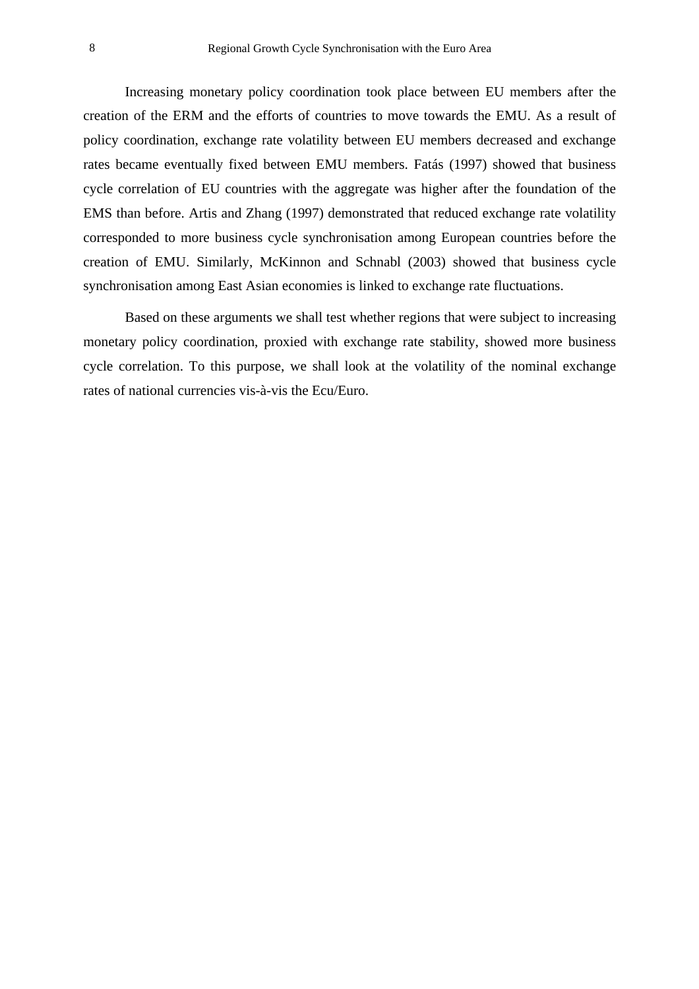Increasing monetary policy coordination took place between EU members after the creation of the ERM and the efforts of countries to move towards the EMU. As a result of policy coordination, exchange rate volatility between EU members decreased and exchange rates became eventually fixed between EMU members. Fatás (1997) showed that business cycle correlation of EU countries with the aggregate was higher after the foundation of the EMS than before. Artis and Zhang (1997) demonstrated that reduced exchange rate volatility corresponded to more business cycle synchronisation among European countries before the creation of EMU. Similarly, McKinnon and Schnabl (2003) showed that business cycle synchronisation among East Asian economies is linked to exchange rate fluctuations.

Based on these arguments we shall test whether regions that were subject to increasing monetary policy coordination, proxied with exchange rate stability, showed more business cycle correlation. To this purpose, we shall look at the volatility of the nominal exchange rates of national currencies vis-à-vis the Ecu/Euro.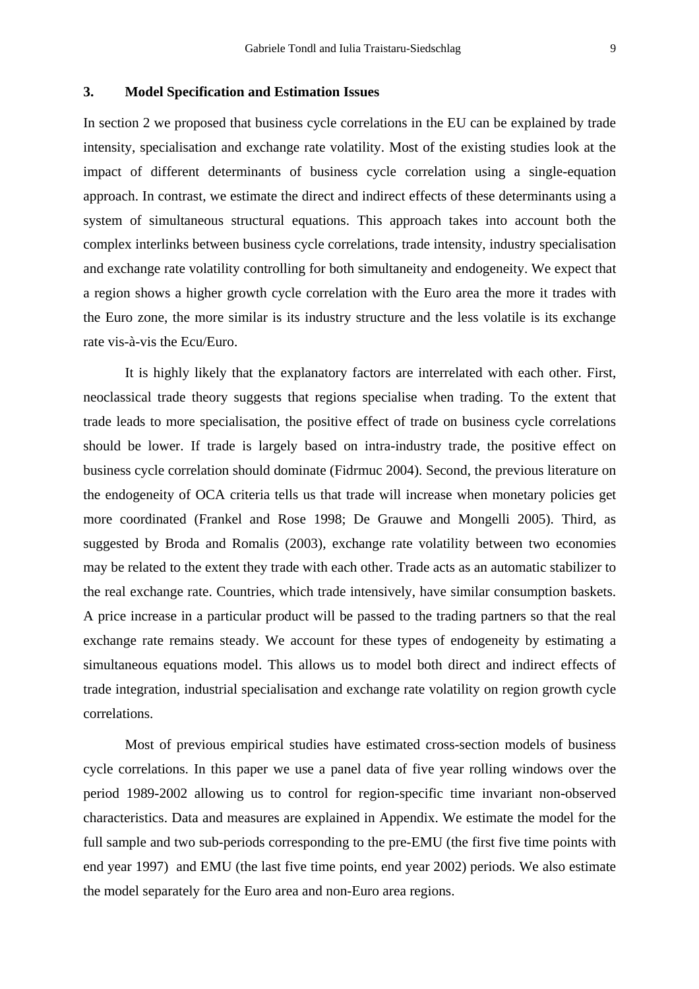## **3. Model Specification and Estimation Issues**

In section 2 we proposed that business cycle correlations in the EU can be explained by trade intensity, specialisation and exchange rate volatility. Most of the existing studies look at the impact of different determinants of business cycle correlation using a single-equation approach. In contrast, we estimate the direct and indirect effects of these determinants using a system of simultaneous structural equations. This approach takes into account both the complex interlinks between business cycle correlations, trade intensity, industry specialisation and exchange rate volatility controlling for both simultaneity and endogeneity. We expect that a region shows a higher growth cycle correlation with the Euro area the more it trades with the Euro zone, the more similar is its industry structure and the less volatile is its exchange rate vis-à-vis the Ecu/Euro.

It is highly likely that the explanatory factors are interrelated with each other. First, neoclassical trade theory suggests that regions specialise when trading. To the extent that trade leads to more specialisation, the positive effect of trade on business cycle correlations should be lower. If trade is largely based on intra-industry trade, the positive effect on business cycle correlation should dominate (Fidrmuc 2004). Second, the previous literature on the endogeneity of OCA criteria tells us that trade will increase when monetary policies get more coordinated (Frankel and Rose 1998; De Grauwe and Mongelli 2005). Third, as suggested by Broda and Romalis (2003), exchange rate volatility between two economies may be related to the extent they trade with each other. Trade acts as an automatic stabilizer to the real exchange rate. Countries, which trade intensively, have similar consumption baskets. A price increase in a particular product will be passed to the trading partners so that the real exchange rate remains steady. We account for these types of endogeneity by estimating a simultaneous equations model. This allows us to model both direct and indirect effects of trade integration, industrial specialisation and exchange rate volatility on region growth cycle correlations.

Most of previous empirical studies have estimated cross-section models of business cycle correlations. In this paper we use a panel data of five year rolling windows over the period 1989-2002 allowing us to control for region-specific time invariant non-observed characteristics. Data and measures are explained in Appendix. We estimate the model for the full sample and two sub-periods corresponding to the pre-EMU (the first five time points with end year 1997) and EMU (the last five time points, end year 2002) periods. We also estimate the model separately for the Euro area and non-Euro area regions.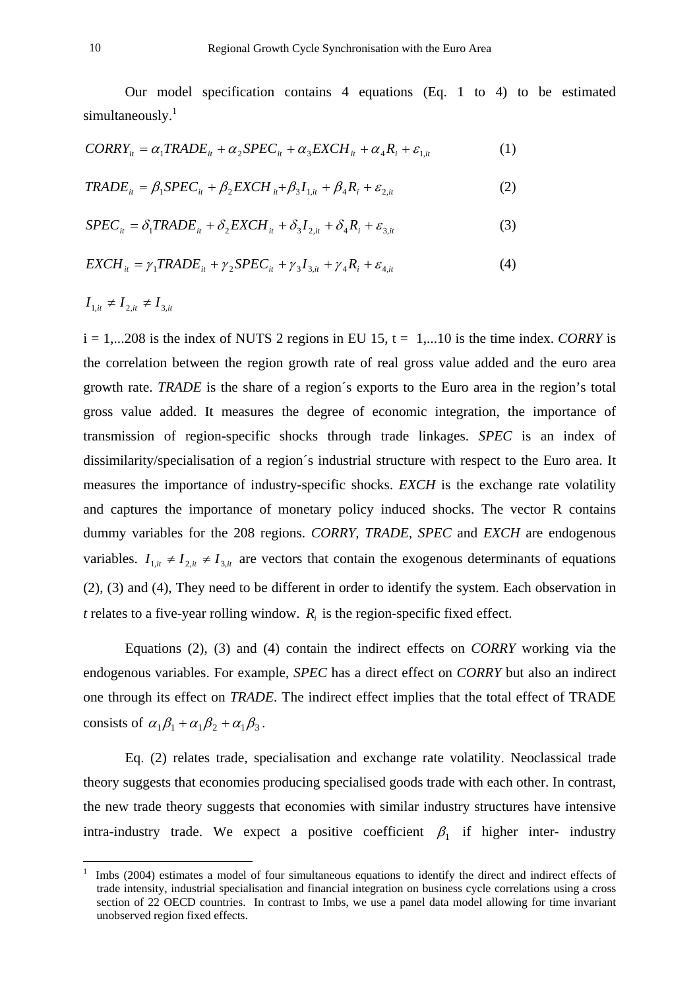Our model specification contains 4 equations (Eq. 1 to 4) to be estimated simultaneously.<sup>1</sup>

$$
CORRY_{it} = \alpha_1 TRADE_{it} + \alpha_2 SPEC_{it} + \alpha_3 EXCH_{it} + \alpha_4 R_i + \varepsilon_{1,it}
$$
 (1)

$$
TRADE_{it} = \beta_1 SPEC_{it} + \beta_2 EXCH_{it} + \beta_3 I_{1,it} + \beta_4 R_i + \varepsilon_{2,it}
$$
\n<sup>(2)</sup>

$$
SPECit = \delta_1 TRADEit + \delta_2 EXCHit + \delta_3 I2,it + \delta_4 R_i + \varepsilon_{3,it}
$$
 (3)

$$
EXCH_{it} = \gamma_1 TRADE_{it} + \gamma_2 SPEC_{it} + \gamma_3 I_{3,it} + \gamma_4 R_i + \varepsilon_{4,it}
$$
(4)

 $I_{1it} \neq I_{2it} \neq I_{3it}$ 

 $\overline{a}$ 

 $i = 1,...208$  is the index of NUTS 2 regions in EU 15,  $t = 1,...10$  is the time index. *CORRY* is the correlation between the region growth rate of real gross value added and the euro area growth rate. *TRADE* is the share of a region´s exports to the Euro area in the region's total gross value added. It measures the degree of economic integration, the importance of transmission of region-specific shocks through trade linkages. *SPEC* is an index of dissimilarity/specialisation of a region´s industrial structure with respect to the Euro area. It measures the importance of industry-specific shocks. *EXCH* is the exchange rate volatility and captures the importance of monetary policy induced shocks. The vector R contains dummy variables for the 208 regions. *CORRY, TRADE, SPEC* and *EXCH* are endogenous variables.  $I_{1,i} \neq I_{2,i} \neq I_{3,i}$  are vectors that contain the exogenous determinants of equations (2), (3) and (4), They need to be different in order to identify the system. Each observation in *t* relates to a five-year rolling window.  $R_i$  is the region-specific fixed effect.

Equations (2), (3) and (4) contain the indirect effects on *CORRY* working via the endogenous variables. For example, *SPEC* has a direct effect on *CORRY* but also an indirect one through its effect on *TRADE*. The indirect effect implies that the total effect of TRADE consists of  $\alpha_1\beta_1 + \alpha_1\beta_2 + \alpha_1\beta_3$ .

Eq. (2) relates trade, specialisation and exchange rate volatility. Neoclassical trade theory suggests that economies producing specialised goods trade with each other. In contrast, the new trade theory suggests that economies with similar industry structures have intensive intra-industry trade. We expect a positive coefficient  $\beta_1$  if higher inter- industry

<span id="page-11-0"></span><sup>1</sup> Imbs (2004) estimates a model of four simultaneous equations to identify the direct and indirect effects of trade intensity, industrial specialisation and financial integration on business cycle correlations using a cross section of 22 OECD countries. In contrast to Imbs, we use a panel data model allowing for time invariant unobserved region fixed effects.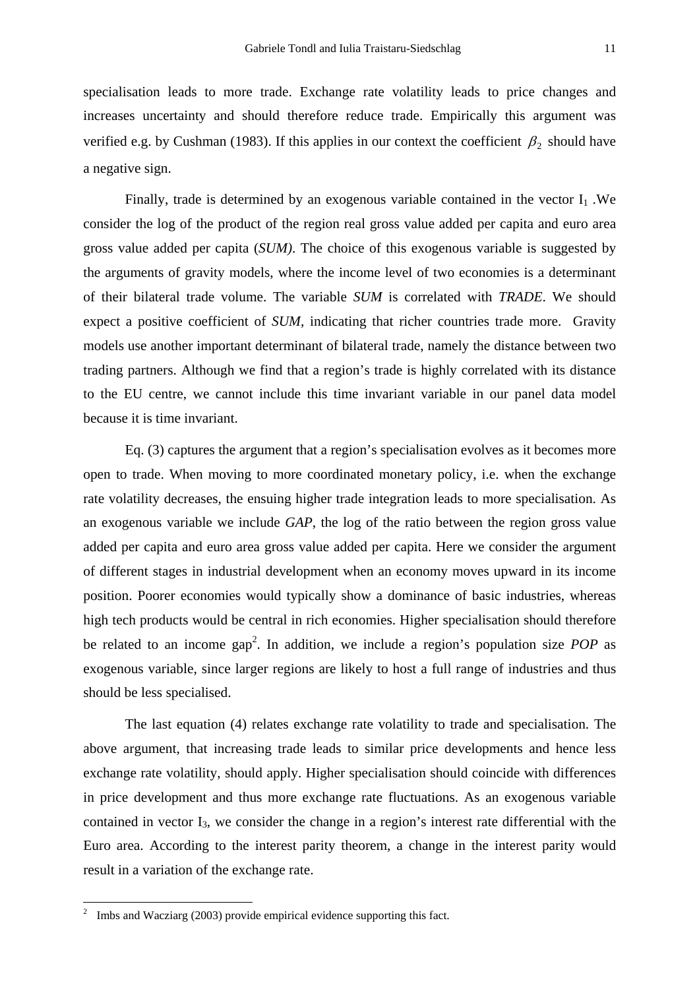specialisation leads to more trade. Exchange rate volatility leads to price changes and increases uncertainty and should therefore reduce trade. Empirically this argument was verified e.g. by Cushman (1983). If this applies in our context the coefficient  $\beta_2$  should have a negative sign.

Finally, trade is determined by an exogenous variable contained in the vector  $I_1$ . We consider the log of the product of the region real gross value added per capita and euro area gross value added per capita (*SUM)*. The choice of this exogenous variable is suggested by the arguments of gravity models, where the income level of two economies is a determinant of their bilateral trade volume. The variable *SUM* is correlated with *TRADE*. We should expect a positive coefficient of *SUM*, indicating that richer countries trade more. Gravity models use another important determinant of bilateral trade, namely the distance between two trading partners. Although we find that a region's trade is highly correlated with its distance to the EU centre, we cannot include this time invariant variable in our panel data model because it is time invariant.

Eq. (3) captures the argument that a region's specialisation evolves as it becomes more open to trade. When moving to more coordinated monetary policy, i.e. when the exchange rate volatility decreases, the ensuing higher trade integration leads to more specialisation. As an exogenous variable we include *GAP*, the log of the ratio between the region gross value added per capita and euro area gross value added per capita. Here we consider the argument of different stages in industrial development when an economy moves upward in its income position. Poorer economies would typically show a dominance of basic industries, whereas high tech products would be central in rich economies. Higher specialisation should therefore be related to an income gap<sup>[2](#page-12-0)</sup>. In addition, we include a region's population size *POP* as exogenous variable, since larger regions are likely to host a full range of industries and thus should be less specialised.

The last equation (4) relates exchange rate volatility to trade and specialisation. The above argument, that increasing trade leads to similar price developments and hence less exchange rate volatility, should apply. Higher specialisation should coincide with differences in price development and thus more exchange rate fluctuations. As an exogenous variable contained in vector I3, we consider the change in a region's interest rate differential with the Euro area. According to the interest parity theorem, a change in the interest parity would result in a variation of the exchange rate.

 $\overline{a}$ 

<span id="page-12-0"></span><sup>&</sup>lt;sup>2</sup> Imbs and Wacziarg (2003) provide empirical evidence supporting this fact.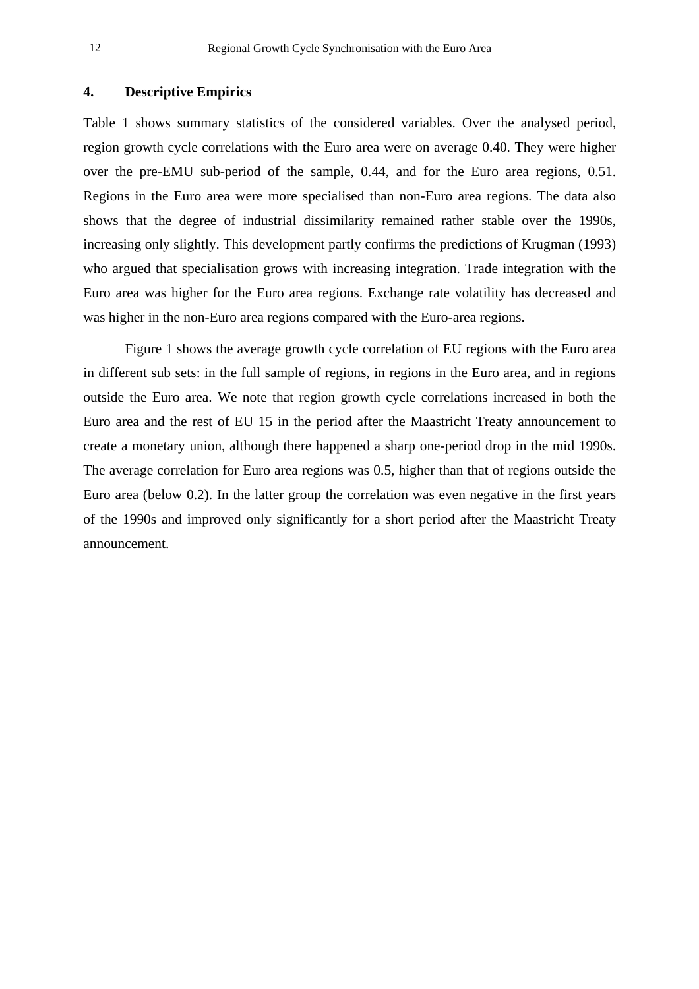### **4. Descriptive Empirics**

Table 1 shows summary statistics of the considered variables. Over the analysed period, region growth cycle correlations with the Euro area were on average 0.40. They were higher over the pre-EMU sub-period of the sample, 0.44, and for the Euro area regions, 0.51. Regions in the Euro area were more specialised than non-Euro area regions. The data also shows that the degree of industrial dissimilarity remained rather stable over the 1990s, increasing only slightly. This development partly confirms the predictions of Krugman (1993) who argued that specialisation grows with increasing integration. Trade integration with the Euro area was higher for the Euro area regions. Exchange rate volatility has decreased and was higher in the non-Euro area regions compared with the Euro-area regions.

Figure 1 shows the average growth cycle correlation of EU regions with the Euro area in different sub sets: in the full sample of regions, in regions in the Euro area, and in regions outside the Euro area. We note that region growth cycle correlations increased in both the Euro area and the rest of EU 15 in the period after the Maastricht Treaty announcement to create a monetary union, although there happened a sharp one-period drop in the mid 1990s. The average correlation for Euro area regions was 0.5, higher than that of regions outside the Euro area (below 0.2). In the latter group the correlation was even negative in the first years of the 1990s and improved only significantly for a short period after the Maastricht Treaty announcement.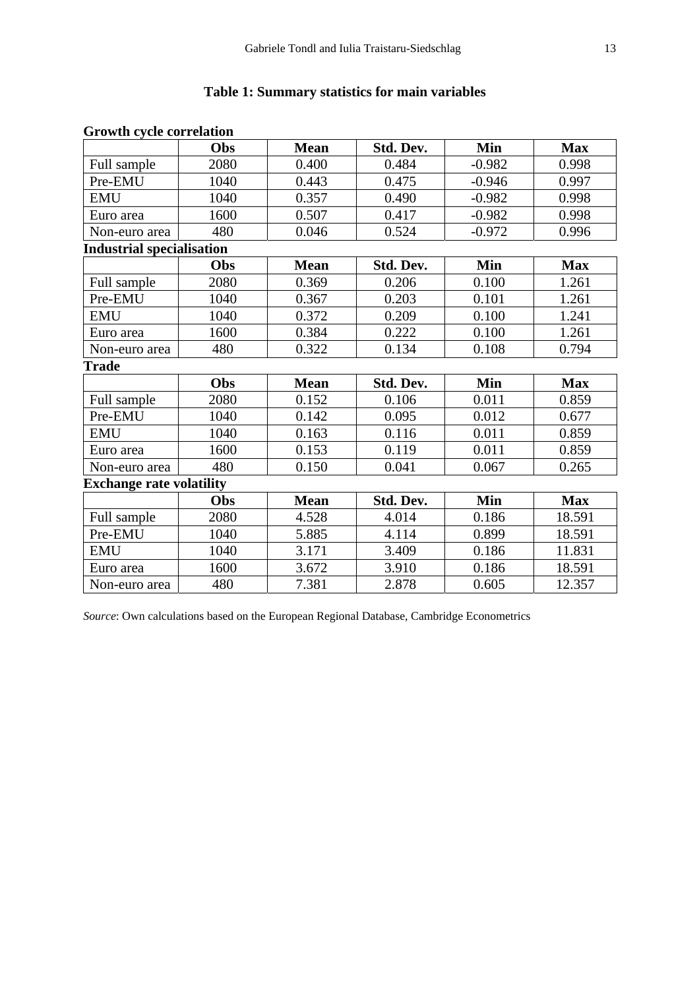## **Table 1: Summary statistics for main variables**

|                                  | Obs  | <b>Mean</b> | Std. Dev. | Min      | <b>Max</b> |
|----------------------------------|------|-------------|-----------|----------|------------|
| Full sample                      | 2080 | 0.400       | 0.484     | $-0.982$ | 0.998      |
| Pre-EMU                          | 1040 | 0.443       | 0.475     | $-0.946$ | 0.997      |
| <b>EMU</b>                       | 1040 | 0.357       | 0.490     | $-0.982$ | 0.998      |
| Euro area                        | 1600 | 0.507       | 0.417     | $-0.982$ | 0.998      |
| Non-euro area                    | 480  | 0.046       | 0.524     | $-0.972$ | 0.996      |
| <b>Industrial specialisation</b> |      |             |           |          |            |
|                                  | Obs  | <b>Mean</b> | Std. Dev. | Min      | <b>Max</b> |
| Full sample                      | 2080 | 0.369       | 0.206     | 0.100    | 1.261      |
| Pre-EMU                          | 1040 | 0.367       | 0.203     | 0.101    | 1.261      |
| <b>EMU</b>                       | 1040 | 0.372       | 0.209     | 0.100    | 1.241      |
| Euro area                        | 1600 | 0.384       | 0.222     | 0.100    | 1.261      |
| Non-euro area                    | 480  | 0.322       | 0.134     | 0.108    | 0.794      |
| Trade                            |      |             |           |          |            |
|                                  | Obs  | <b>Mean</b> | Std. Dev. | Min      | <b>Max</b> |
| Full sample                      | 2080 | 0.152       | 0.106     | 0.011    | 0.859      |
| Pre-EMU                          | 1040 | 0.142       | 0.095     | 0.012    | 0.677      |
| <b>EMU</b>                       | 1040 | 0.163       | 0.116     | 0.011    | 0.859      |
| Euro area                        | 1600 | 0.153       | 0.119     | 0.011    | 0.859      |
| Non-euro area                    | 480  | 0.150       | 0.041     | 0.067    | 0.265      |
| <b>Exchange rate volatility</b>  |      |             |           |          |            |
|                                  | Obs  | <b>Mean</b> | Std. Dev. | Min      | <b>Max</b> |
| Full sample                      | 2080 | 4.528       | 4.014     | 0.186    | 18.591     |
| Pre-EMU                          | 1040 | 5.885       | 4.114     | 0.899    | 18.591     |
| <b>EMU</b>                       | 1040 | 3.171       | 3.409     | 0.186    | 11.831     |
| Euro area                        | 1600 | 3.672       | 3.910     | 0.186    | 18.591     |
| Non-euro area                    | 480  | 7.381       | 2.878     | 0.605    | 12.357     |

## **Growth cycle correlation**

*Source*: Own calculations based on the European Regional Database, Cambridge Econometrics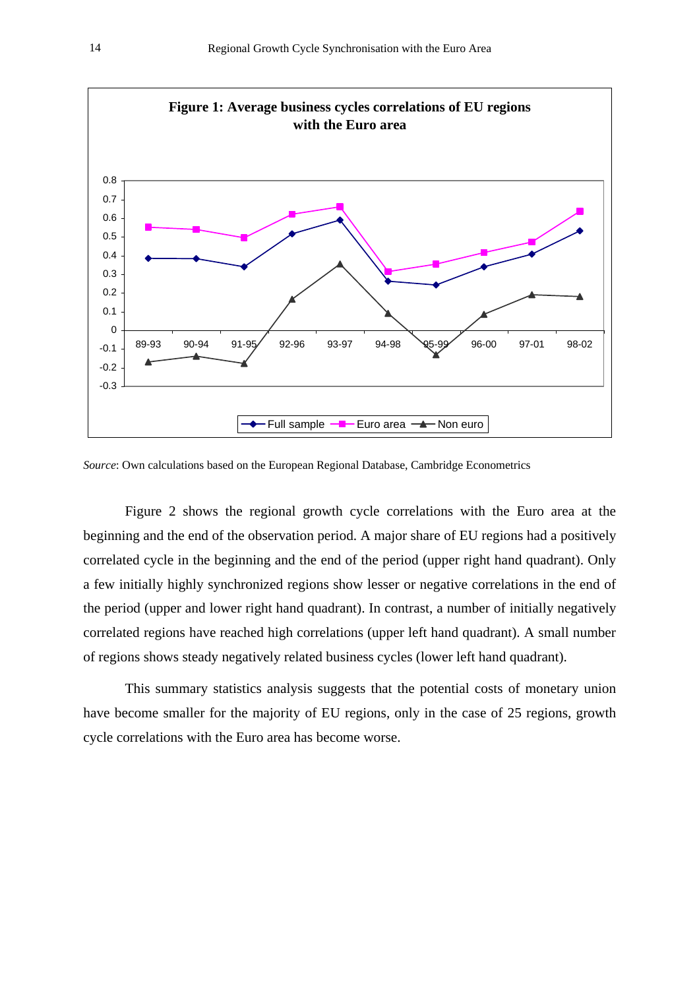

*Source*: Own calculations based on the European Regional Database, Cambridge Econometrics

Figure 2 shows the regional growth cycle correlations with the Euro area at the beginning and the end of the observation period. A major share of EU regions had a positively correlated cycle in the beginning and the end of the period (upper right hand quadrant). Only a few initially highly synchronized regions show lesser or negative correlations in the end of the period (upper and lower right hand quadrant). In contrast, a number of initially negatively correlated regions have reached high correlations (upper left hand quadrant). A small number of regions shows steady negatively related business cycles (lower left hand quadrant).

This summary statistics analysis suggests that the potential costs of monetary union have become smaller for the majority of EU regions, only in the case of 25 regions, growth cycle correlations with the Euro area has become worse.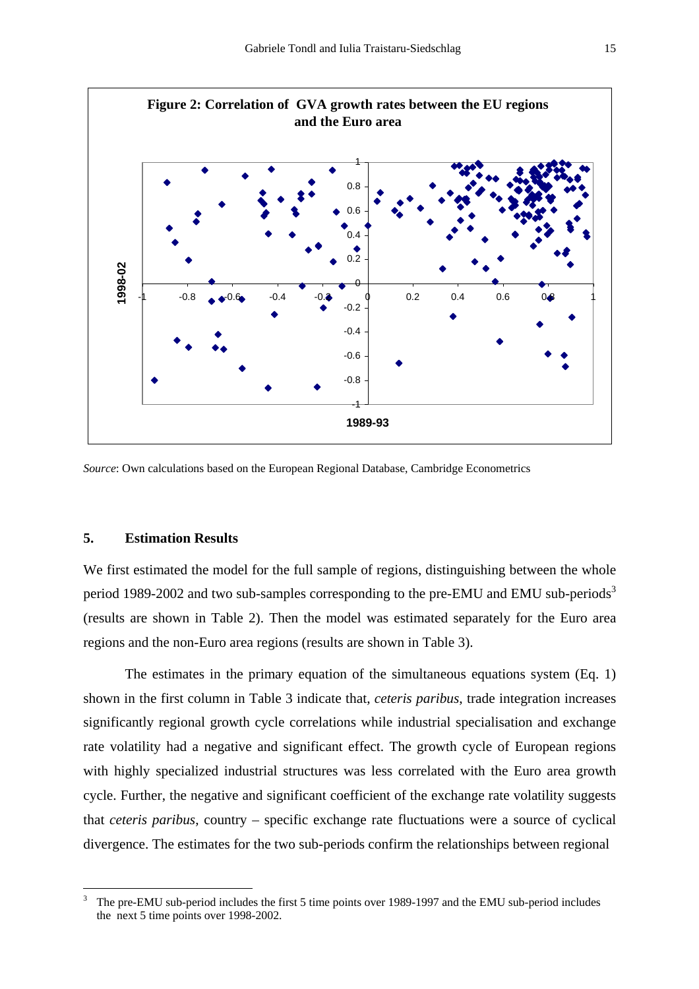

*Source*: Own calculations based on the European Regional Database, Cambridge Econometrics

### **5. Estimation Results**

 $\overline{a}$ 

We first estimated the model for the full sample of regions, distinguishing between the whole period 1989-2002 and two sub-samples corresponding to the pre-EMU and EMU sub-periods<sup>[3](#page-16-0)</sup> (results are shown in Table 2). Then the model was estimated separately for the Euro area regions and the non-Euro area regions (results are shown in Table 3).

The estimates in the primary equation of the simultaneous equations system (Eq. 1) shown in the first column in Table 3 indicate that, *ceteris paribus*, trade integration increases significantly regional growth cycle correlations while industrial specialisation and exchange rate volatility had a negative and significant effect. The growth cycle of European regions with highly specialized industrial structures was less correlated with the Euro area growth cycle. Further, the negative and significant coefficient of the exchange rate volatility suggests that *ceteris paribus*, country – specific exchange rate fluctuations were a source of cyclical divergence. The estimates for the two sub-periods confirm the relationships between regional

<span id="page-16-0"></span><sup>3</sup> The pre-EMU sub-period includes the first 5 time points over 1989-1997 and the EMU sub-period includes the next 5 time points over 1998-2002.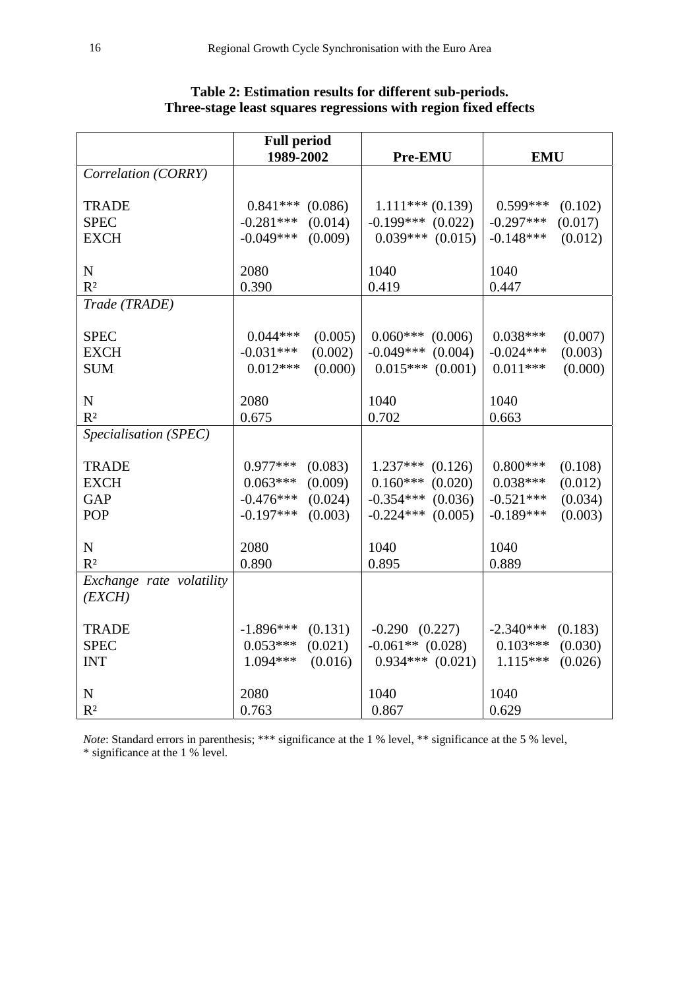|                          | <b>Full period</b><br>1989-2002 | Pre-EMU                | <b>EMU</b>             |  |
|--------------------------|---------------------------------|------------------------|------------------------|--|
| Correlation (CORRY)      |                                 |                        |                        |  |
|                          |                                 |                        |                        |  |
| <b>TRADE</b>             | $0.841***$ (0.086)              | $1.111***(0.139)$      | $0.599***$<br>(0.102)  |  |
| <b>SPEC</b>              | $-0.281***$<br>(0.014)          | $-0.199***$ (0.022)    | $-0.297***$<br>(0.017) |  |
| <b>EXCH</b>              | $-0.049***$<br>(0.009)          | $0.039***$ $(0.015)$   | $-0.148***$<br>(0.012) |  |
|                          |                                 |                        |                        |  |
| ${\bf N}$                | 2080                            | 1040                   | 1040                   |  |
| R <sup>2</sup>           | 0.390                           | 0.419                  | 0.447                  |  |
| Trade (TRADE)            |                                 |                        |                        |  |
|                          |                                 |                        |                        |  |
| <b>SPEC</b>              | $0.044***$<br>(0.005)           | $0.060***$<br>(0.006)  | $0.038***$<br>(0.007)  |  |
| <b>EXCH</b>              | $-0.031***$<br>(0.002)          | (0.004)<br>$-0.049***$ | $-0.024***$<br>(0.003) |  |
| <b>SUM</b>               | $0.012***$<br>(0.000)           | (0.001)<br>$0.015***$  | $0.011***$<br>(0.000)  |  |
|                          |                                 |                        |                        |  |
| $\mathbf N$              | 2080                            | 1040                   | 1040                   |  |
| R <sup>2</sup>           | 0.675                           | 0.702                  | 0.663                  |  |
| Specialisation (SPEC)    |                                 |                        |                        |  |
| <b>TRADE</b>             | $0.977***$<br>(0.083)           | $1.237***$<br>(0.126)  | $0.800***$<br>(0.108)  |  |
| <b>EXCH</b>              | (0.009)<br>$0.063***$           | (0.020)<br>$0.160***$  | $0.038***$<br>(0.012)  |  |
| <b>GAP</b>               | (0.024)<br>$-0.476***$          | (0.036)<br>$-0.354***$ | $-0.521***$<br>(0.034) |  |
| <b>POP</b>               | $-0.197***$<br>(0.003)          | (0.005)<br>$-0.224***$ | $-0.189***$<br>(0.003) |  |
|                          |                                 |                        |                        |  |
| ${\bf N}$                | 2080                            | 1040                   | 1040                   |  |
| R <sup>2</sup>           | 0.890                           | 0.895                  | 0.889                  |  |
| Exchange rate volatility |                                 |                        |                        |  |
| (EXCH)                   |                                 |                        |                        |  |
|                          |                                 |                        |                        |  |
| <b>TRADE</b>             | $-1.896***$<br>(0.131)          | $-0.290$ $(0.227)$     | $-2.340***$<br>(0.183) |  |
| <b>SPEC</b>              | $0.053***$<br>(0.021)           | $-0.061**$ (0.028)     | $0.103***$<br>(0.030)  |  |
| <b>INT</b>               | 1.094***<br>(0.016)             | $0.934***$ $(0.021)$   | $1.115***$<br>(0.026)  |  |
|                          |                                 |                        |                        |  |
| ${\bf N}$                | 2080                            | 1040                   | 1040                   |  |
| R <sup>2</sup>           | 0.763                           | 0.867                  | 0.629                  |  |

## **Table 2: Estimation results for different sub-periods. Three-stage least squares regressions with region fixed effects**

*Note*: Standard errors in parenthesis; \*\*\* significance at the 1 % level, \*\* significance at the 5 % level, \* significance at the 1 % level.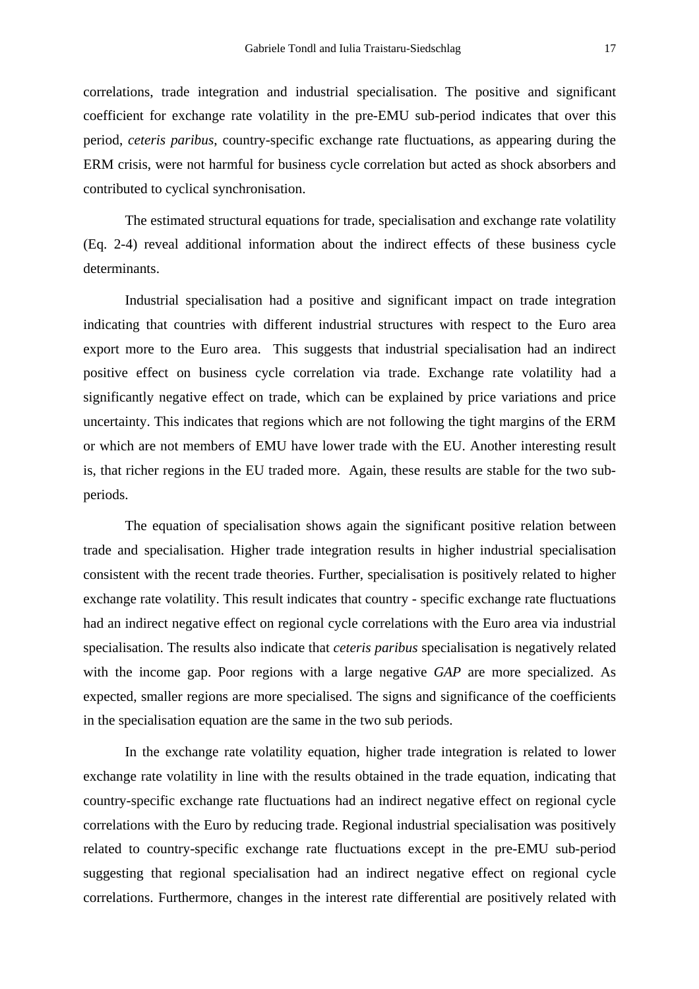correlations, trade integration and industrial specialisation. The positive and significant coefficient for exchange rate volatility in the pre-EMU sub-period indicates that over this period, *ceteris paribus*, country-specific exchange rate fluctuations, as appearing during the ERM crisis, were not harmful for business cycle correlation but acted as shock absorbers and contributed to cyclical synchronisation.

The estimated structural equations for trade, specialisation and exchange rate volatility (Eq. 2-4) reveal additional information about the indirect effects of these business cycle determinants.

Industrial specialisation had a positive and significant impact on trade integration indicating that countries with different industrial structures with respect to the Euro area export more to the Euro area. This suggests that industrial specialisation had an indirect positive effect on business cycle correlation via trade. Exchange rate volatility had a significantly negative effect on trade, which can be explained by price variations and price uncertainty. This indicates that regions which are not following the tight margins of the ERM or which are not members of EMU have lower trade with the EU. Another interesting result is, that richer regions in the EU traded more. Again, these results are stable for the two subperiods.

The equation of specialisation shows again the significant positive relation between trade and specialisation. Higher trade integration results in higher industrial specialisation consistent with the recent trade theories. Further, specialisation is positively related to higher exchange rate volatility. This result indicates that country - specific exchange rate fluctuations had an indirect negative effect on regional cycle correlations with the Euro area via industrial specialisation. The results also indicate that *ceteris paribus* specialisation is negatively related with the income gap. Poor regions with a large negative *GAP* are more specialized. As expected, smaller regions are more specialised. The signs and significance of the coefficients in the specialisation equation are the same in the two sub periods.

In the exchange rate volatility equation, higher trade integration is related to lower exchange rate volatility in line with the results obtained in the trade equation, indicating that country-specific exchange rate fluctuations had an indirect negative effect on regional cycle correlations with the Euro by reducing trade. Regional industrial specialisation was positively related to country-specific exchange rate fluctuations except in the pre-EMU sub-period suggesting that regional specialisation had an indirect negative effect on regional cycle correlations. Furthermore, changes in the interest rate differential are positively related with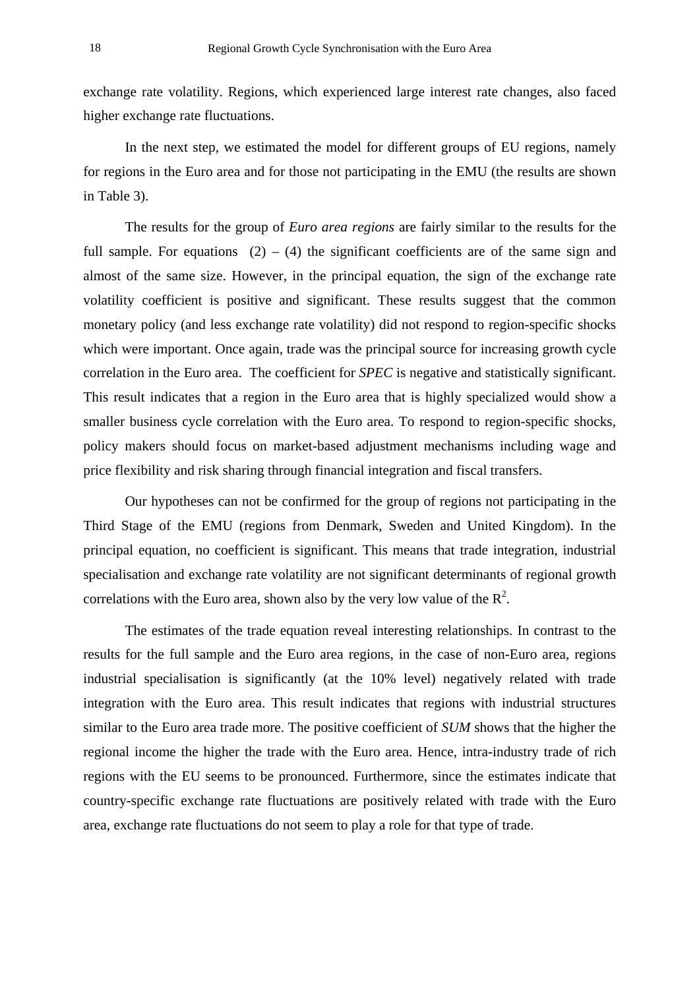exchange rate volatility. Regions, which experienced large interest rate changes, also faced higher exchange rate fluctuations.

In the next step, we estimated the model for different groups of EU regions, namely for regions in the Euro area and for those not participating in the EMU (the results are shown in Table 3).

The results for the group of *Euro area regions* are fairly similar to the results for the full sample. For equations  $(2) - (4)$  the significant coefficients are of the same sign and almost of the same size. However, in the principal equation, the sign of the exchange rate volatility coefficient is positive and significant. These results suggest that the common monetary policy (and less exchange rate volatility) did not respond to region-specific shocks which were important. Once again, trade was the principal source for increasing growth cycle correlation in the Euro area. The coefficient for *SPEC* is negative and statistically significant. This result indicates that a region in the Euro area that is highly specialized would show a smaller business cycle correlation with the Euro area. To respond to region-specific shocks, policy makers should focus on market-based adjustment mechanisms including wage and price flexibility and risk sharing through financial integration and fiscal transfers.

Our hypotheses can not be confirmed for the group of regions not participating in the Third Stage of the EMU (regions from Denmark, Sweden and United Kingdom). In the principal equation, no coefficient is significant. This means that trade integration, industrial specialisation and exchange rate volatility are not significant determinants of regional growth correlations with the Euro area, shown also by the very low value of the  $\mathbb{R}^2$ .

The estimates of the trade equation reveal interesting relationships. In contrast to the results for the full sample and the Euro area regions, in the case of non-Euro area, regions industrial specialisation is significantly (at the 10% level) negatively related with trade integration with the Euro area. This result indicates that regions with industrial structures similar to the Euro area trade more. The positive coefficient of *SUM* shows that the higher the regional income the higher the trade with the Euro area. Hence, intra-industry trade of rich regions with the EU seems to be pronounced. Furthermore, since the estimates indicate that country-specific exchange rate fluctuations are positively related with trade with the Euro area, exchange rate fluctuations do not seem to play a role for that type of trade.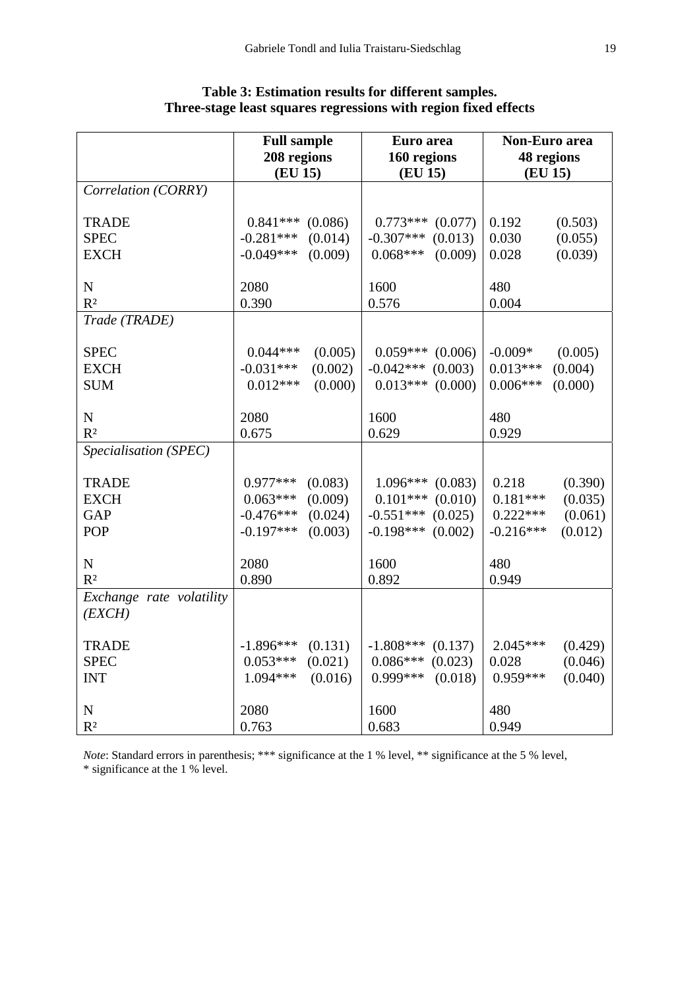|                          | <b>Full sample</b>     |         | Euro area              |         | <b>Non-Euro</b> area  |         |
|--------------------------|------------------------|---------|------------------------|---------|-----------------------|---------|
|                          | 208 regions<br>(EU 15) |         | 160 regions<br>(EU 15) |         | 48 regions<br>(EU 15) |         |
| Correlation (CORRY)      |                        |         |                        |         |                       |         |
|                          |                        |         |                        |         |                       |         |
| <b>TRADE</b>             | $0.841***$             | (0.086) | $0.773***$             | (0.077) | 0.192                 | (0.503) |
| <b>SPEC</b>              | $-0.281***$            | (0.014) | $-0.307***$            | (0.013) | 0.030                 | (0.055) |
| <b>EXCH</b>              | $-0.049***$            | (0.009) | $0.068***$             | (0.009) | 0.028                 | (0.039) |
|                          |                        |         |                        |         |                       |         |
| ${\bf N}$                | 2080                   |         | 1600                   |         | 480                   |         |
| R <sup>2</sup>           | 0.390                  |         | 0.576                  |         | 0.004                 |         |
| Trade (TRADE)            |                        |         |                        |         |                       |         |
| <b>SPEC</b>              | $0.044***$             | (0.005) | $0.059***$             | (0.006) | $-0.009*$             | (0.005) |
| <b>EXCH</b>              | $-0.031***$            | (0.002) | $-0.042***$            | (0.003) | $0.013***$            | (0.004) |
| <b>SUM</b>               | $0.012***$             | (0.000) | $0.013***$             | (0.000) | $0.006***$            | (0.000) |
|                          |                        |         |                        |         |                       |         |
| ${\bf N}$                | 2080                   |         | 1600                   |         | 480                   |         |
| R <sup>2</sup>           | 0.675                  |         | 0.629                  |         | 0.929                 |         |
| Specialisation (SPEC)    |                        |         |                        |         |                       |         |
|                          |                        |         |                        |         |                       |         |
| <b>TRADE</b>             | $0.977***$             | (0.083) | $1.096***$             | (0.083) | 0.218                 | (0.390) |
| <b>EXCH</b>              | $0.063***$             | (0.009) | $0.101***$             | (0.010) | $0.181***$            | (0.035) |
| <b>GAP</b>               | $-0.476***$            | (0.024) | $-0.551***$            | (0.025) | $0.222***$            | (0.061) |
| POP                      | $-0.197***$            | (0.003) | $-0.198***$            | (0.002) | $-0.216***$           | (0.012) |
| N                        | 2080                   |         | 1600                   |         | 480                   |         |
| R <sup>2</sup>           | 0.890                  |         | 0.892                  |         | 0.949                 |         |
| Exchange rate volatility |                        |         |                        |         |                       |         |
| (EXCH)                   |                        |         |                        |         |                       |         |
|                          |                        |         |                        |         |                       |         |
| <b>TRADE</b>             | $-1.896***$            | (0.131) | $-1.808***$            | (0.137) | 2.045***              | (0.429) |
| <b>SPEC</b>              | $0.053***$             | (0.021) | $0.086***$             | (0.023) | 0.028                 | (0.046) |
| <b>INT</b>               | $1.094***$             | (0.016) | 0.999***               | (0.018) | $0.959***$            | (0.040) |
|                          |                        |         |                        |         |                       |         |
| ${\bf N}$                | 2080                   |         | 1600                   |         | 480                   |         |
| $\mathbb{R}^2$           | 0.763                  |         | 0.683                  |         | 0.949                 |         |

## **Table 3: Estimation results for different samples. Three-stage least squares regressions with region fixed effects**

*Note*: Standard errors in parenthesis; \*\*\* significance at the 1 % level, \*\* significance at the 5 % level, \* significance at the 1 % level.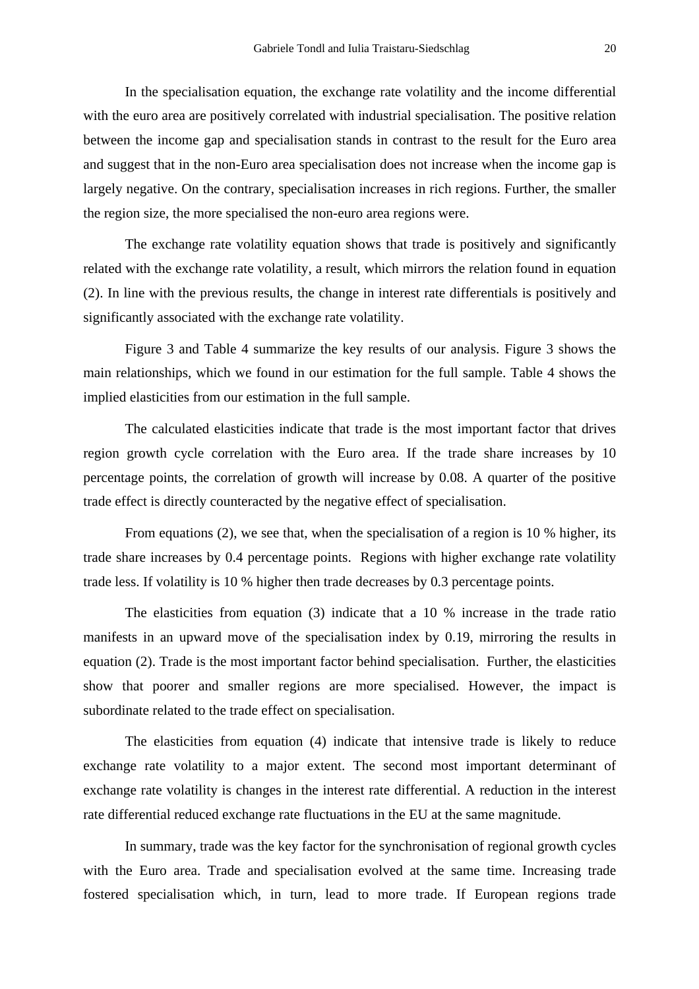In the specialisation equation, the exchange rate volatility and the income differential with the euro area are positively correlated with industrial specialisation. The positive relation between the income gap and specialisation stands in contrast to the result for the Euro area and suggest that in the non-Euro area specialisation does not increase when the income gap is largely negative. On the contrary, specialisation increases in rich regions. Further, the smaller the region size, the more specialised the non-euro area regions were.

The exchange rate volatility equation shows that trade is positively and significantly related with the exchange rate volatility, a result, which mirrors the relation found in equation (2). In line with the previous results, the change in interest rate differentials is positively and significantly associated with the exchange rate volatility.

Figure 3 and Table 4 summarize the key results of our analysis. Figure 3 shows the main relationships, which we found in our estimation for the full sample. Table 4 shows the implied elasticities from our estimation in the full sample.

The calculated elasticities indicate that trade is the most important factor that drives region growth cycle correlation with the Euro area. If the trade share increases by 10 percentage points, the correlation of growth will increase by 0.08. A quarter of the positive trade effect is directly counteracted by the negative effect of specialisation.

From equations (2), we see that, when the specialisation of a region is 10 % higher, its trade share increases by 0.4 percentage points. Regions with higher exchange rate volatility trade less. If volatility is 10 % higher then trade decreases by 0.3 percentage points.

The elasticities from equation (3) indicate that a 10 % increase in the trade ratio manifests in an upward move of the specialisation index by 0.19, mirroring the results in equation (2). Trade is the most important factor behind specialisation. Further, the elasticities show that poorer and smaller regions are more specialised. However, the impact is subordinate related to the trade effect on specialisation.

The elasticities from equation (4) indicate that intensive trade is likely to reduce exchange rate volatility to a major extent. The second most important determinant of exchange rate volatility is changes in the interest rate differential. A reduction in the interest rate differential reduced exchange rate fluctuations in the EU at the same magnitude.

In summary, trade was the key factor for the synchronisation of regional growth cycles with the Euro area. Trade and specialisation evolved at the same time. Increasing trade fostered specialisation which, in turn, lead to more trade. If European regions trade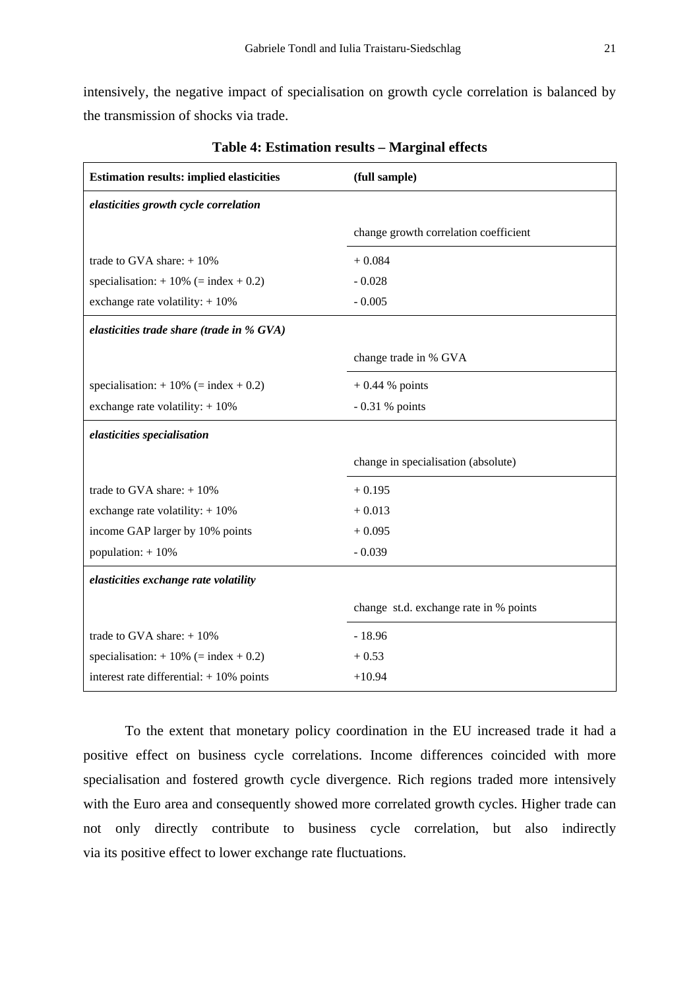intensively, the negative impact of specialisation on growth cycle correlation is balanced by the transmission of shocks via trade.

| <b>Estimation results: implied elasticities</b> | (full sample)                          |  |  |  |
|-------------------------------------------------|----------------------------------------|--|--|--|
| elasticities growth cycle correlation           |                                        |  |  |  |
|                                                 | change growth correlation coefficient  |  |  |  |
| trade to GVA share: $+10\%$                     | $+0.084$                               |  |  |  |
| specialisation: $+10\%$ (= index $+0.2$ )       | $-0.028$                               |  |  |  |
| exchange rate volatility: $+10\%$               | $-0.005$                               |  |  |  |
| elasticities trade share (trade in % GVA)       |                                        |  |  |  |
|                                                 | change trade in % GVA                  |  |  |  |
| specialisation: $+10\%$ (= index $+0.2$ )       | $+0.44$ % points                       |  |  |  |
| exchange rate volatility: $+10\%$               | $-0.31$ % points                       |  |  |  |
| elasticities specialisation                     |                                        |  |  |  |
|                                                 | change in specialisation (absolute)    |  |  |  |
| trade to GVA share: $+10\%$                     | $+0.195$                               |  |  |  |
| exchange rate volatility: $+10\%$               | $+0.013$                               |  |  |  |
| income GAP larger by 10% points                 | $+0.095$                               |  |  |  |
| population: $+10%$                              | $-0.039$                               |  |  |  |
| elasticities exchange rate volatility           |                                        |  |  |  |
|                                                 | change st.d. exchange rate in % points |  |  |  |
| trade to GVA share: $+10\%$                     | $-18.96$                               |  |  |  |
| specialisation: $+10\%$ (= index $+0.2$ )       | $+0.53$                                |  |  |  |
| interest rate differential: $+10\%$ points      | $+10.94$                               |  |  |  |

**Table 4: Estimation results – Marginal effects**

To the extent that monetary policy coordination in the EU increased trade it had a positive effect on business cycle correlations. Income differences coincided with more specialisation and fostered growth cycle divergence. Rich regions traded more intensively with the Euro area and consequently showed more correlated growth cycles. Higher trade can not only directly contribute to business cycle correlation, but also indirectly via its positive effect to lower exchange rate fluctuations.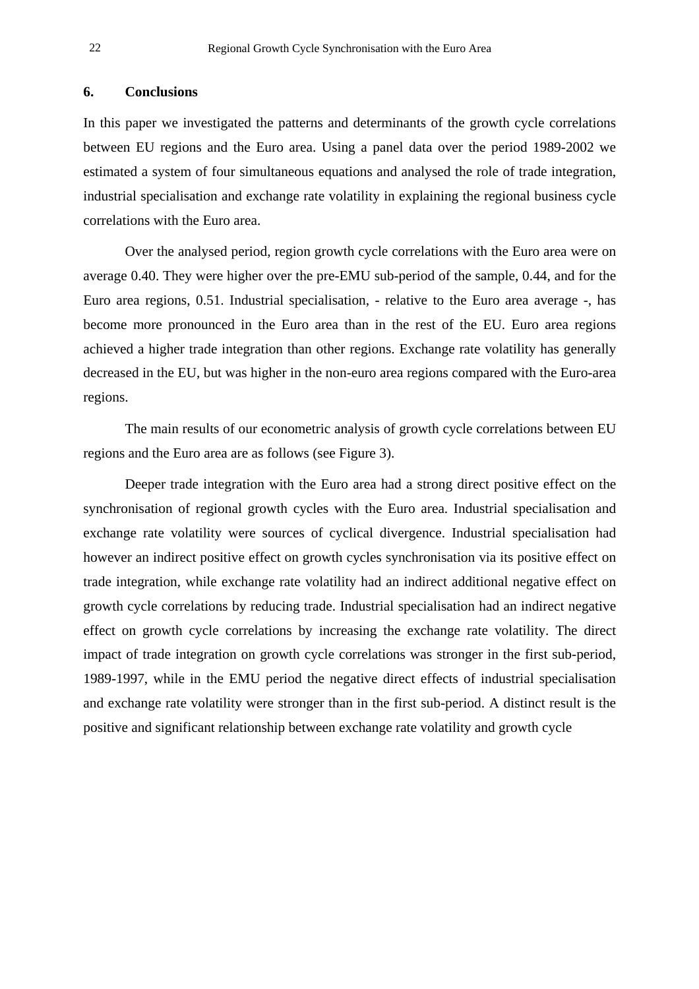### **6. Conclusions**

In this paper we investigated the patterns and determinants of the growth cycle correlations between EU regions and the Euro area. Using a panel data over the period 1989-2002 we estimated a system of four simultaneous equations and analysed the role of trade integration, industrial specialisation and exchange rate volatility in explaining the regional business cycle correlations with the Euro area.

Over the analysed period, region growth cycle correlations with the Euro area were on average 0.40. They were higher over the pre-EMU sub-period of the sample, 0.44, and for the Euro area regions, 0.51. Industrial specialisation, - relative to the Euro area average -, has become more pronounced in the Euro area than in the rest of the EU. Euro area regions achieved a higher trade integration than other regions. Exchange rate volatility has generally decreased in the EU, but was higher in the non-euro area regions compared with the Euro-area regions.

The main results of our econometric analysis of growth cycle correlations between EU regions and the Euro area are as follows (see Figure 3).

Deeper trade integration with the Euro area had a strong direct positive effect on the synchronisation of regional growth cycles with the Euro area. Industrial specialisation and exchange rate volatility were sources of cyclical divergence. Industrial specialisation had however an indirect positive effect on growth cycles synchronisation via its positive effect on trade integration, while exchange rate volatility had an indirect additional negative effect on growth cycle correlations by reducing trade. Industrial specialisation had an indirect negative effect on growth cycle correlations by increasing the exchange rate volatility. The direct impact of trade integration on growth cycle correlations was stronger in the first sub-period, 1989-1997, while in the EMU period the negative direct effects of industrial specialisation and exchange rate volatility were stronger than in the first sub-period. A distinct result is the positive and significant relationship between exchange rate volatility and growth cycle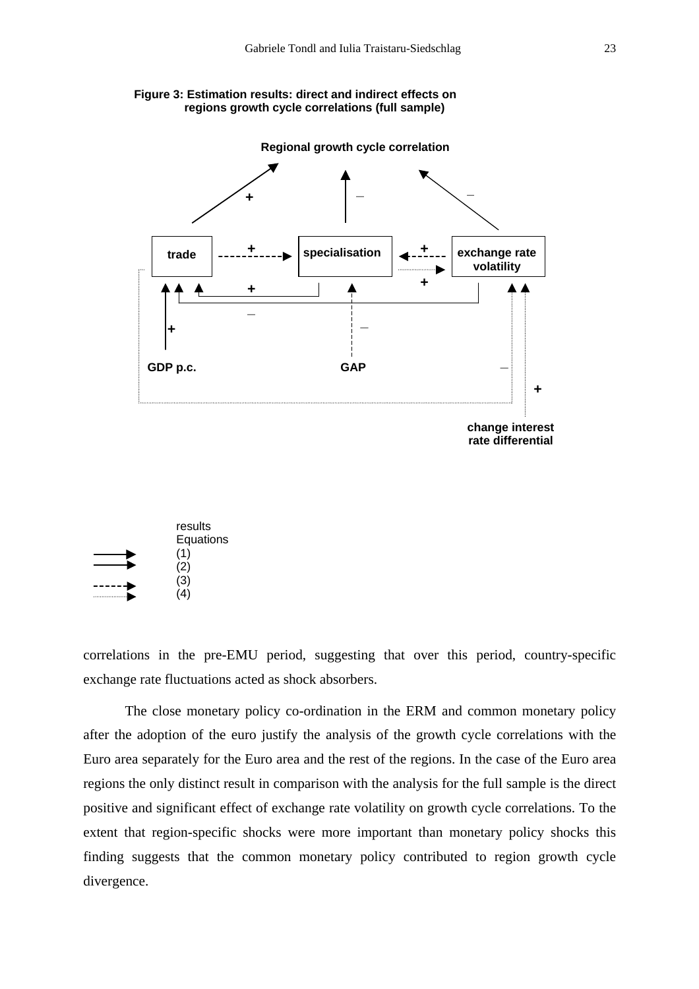





correlations in the pre-EMU period, suggesting that over this period, country-specific exchange rate fluctuations acted as shock absorbers.

The close monetary policy co-ordination in the ERM and common monetary policy after the adoption of the euro justify the analysis of the growth cycle correlations with the Euro area separately for the Euro area and the rest of the regions. In the case of the Euro area regions the only distinct result in comparison with the analysis for the full sample is the direct positive and significant effect of exchange rate volatility on growth cycle correlations. To the extent that region-specific shocks were more important than monetary policy shocks this finding suggests that the common monetary policy contributed to region growth cycle divergence.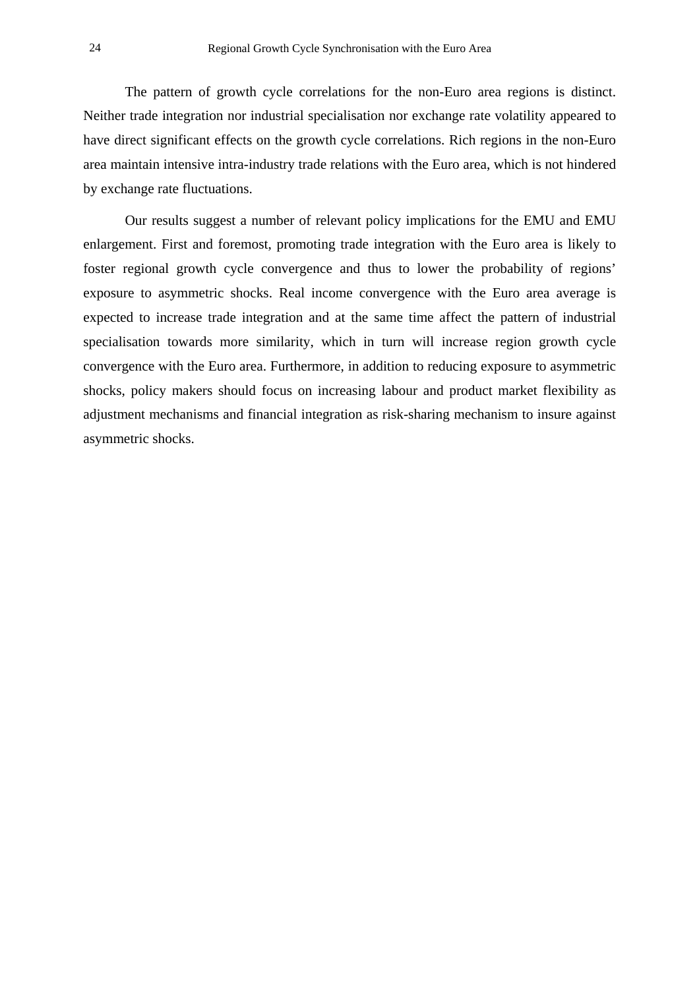The pattern of growth cycle correlations for the non-Euro area regions is distinct. Neither trade integration nor industrial specialisation nor exchange rate volatility appeared to have direct significant effects on the growth cycle correlations. Rich regions in the non-Euro area maintain intensive intra-industry trade relations with the Euro area, which is not hindered by exchange rate fluctuations.

Our results suggest a number of relevant policy implications for the EMU and EMU enlargement. First and foremost, promoting trade integration with the Euro area is likely to foster regional growth cycle convergence and thus to lower the probability of regions' exposure to asymmetric shocks. Real income convergence with the Euro area average is expected to increase trade integration and at the same time affect the pattern of industrial specialisation towards more similarity, which in turn will increase region growth cycle convergence with the Euro area. Furthermore, in addition to reducing exposure to asymmetric shocks, policy makers should focus on increasing labour and product market flexibility as adjustment mechanisms and financial integration as risk-sharing mechanism to insure against asymmetric shocks.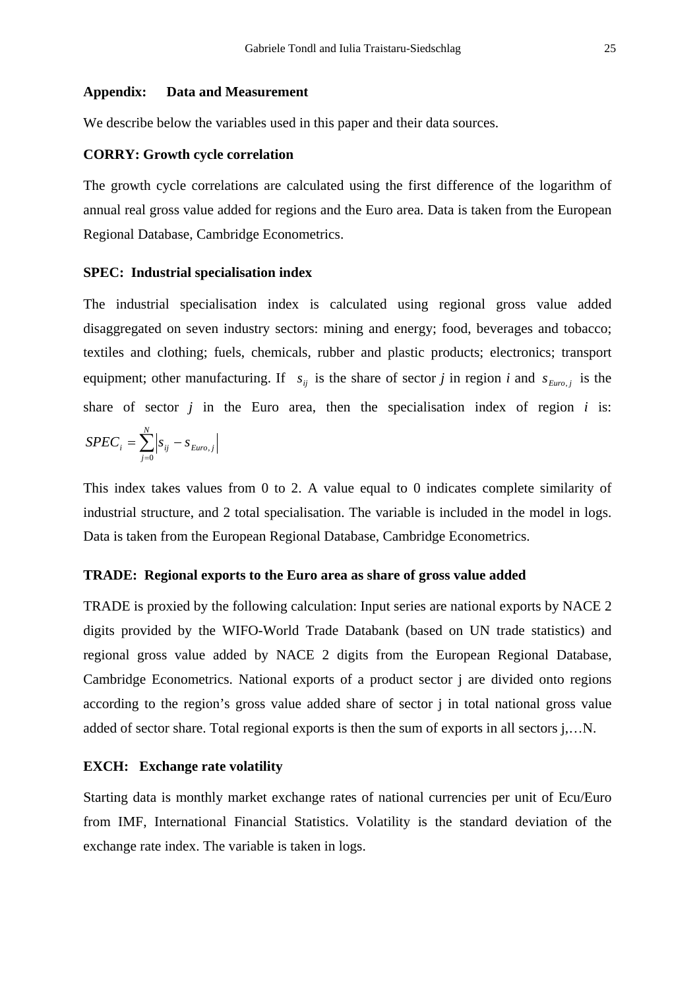#### **Appendix: Data and Measurement**

We describe below the variables used in this paper and their data sources.

#### **CORRY: Growth cycle correlation**

The growth cycle correlations are calculated using the first difference of the logarithm of annual real gross value added for regions and the Euro area. Data is taken from the European Regional Database, Cambridge Econometrics.

### **SPEC: Industrial specialisation index**

The industrial specialisation index is calculated using regional gross value added disaggregated on seven industry sectors: mining and energy; food, beverages and tobacco; textiles and clothing; fuels, chemicals, rubber and plastic products; electronics; transport equipment; other manufacturing. If  $s_{ij}$  is the share of sector *j* in region *i* and  $s_{Euro,j}$  is the share of sector  $j$  in the Euro area, then the specialisation index of region  $i$  is:

$$
SPEC_i = \sum_{j=0}^{N} \left| s_{ij} - s_{Euro,j} \right|
$$

This index takes values from 0 to 2. A value equal to 0 indicates complete similarity of industrial structure, and 2 total specialisation. The variable is included in the model in logs. Data is taken from the European Regional Database, Cambridge Econometrics.

#### **TRADE: Regional exports to the Euro area as share of gross value added**

TRADE is proxied by the following calculation: Input series are national exports by NACE 2 digits provided by the WIFO-World Trade Databank (based on UN trade statistics) and regional gross value added by NACE 2 digits from the European Regional Database, Cambridge Econometrics. National exports of a product sector j are divided onto regions according to the region's gross value added share of sector j in total national gross value added of sector share. Total regional exports is then the sum of exports in all sectors j,…N.

### **EXCH: Exchange rate volatility**

Starting data is monthly market exchange rates of national currencies per unit of Ecu/Euro from IMF, International Financial Statistics. Volatility is the standard deviation of the exchange rate index. The variable is taken in logs.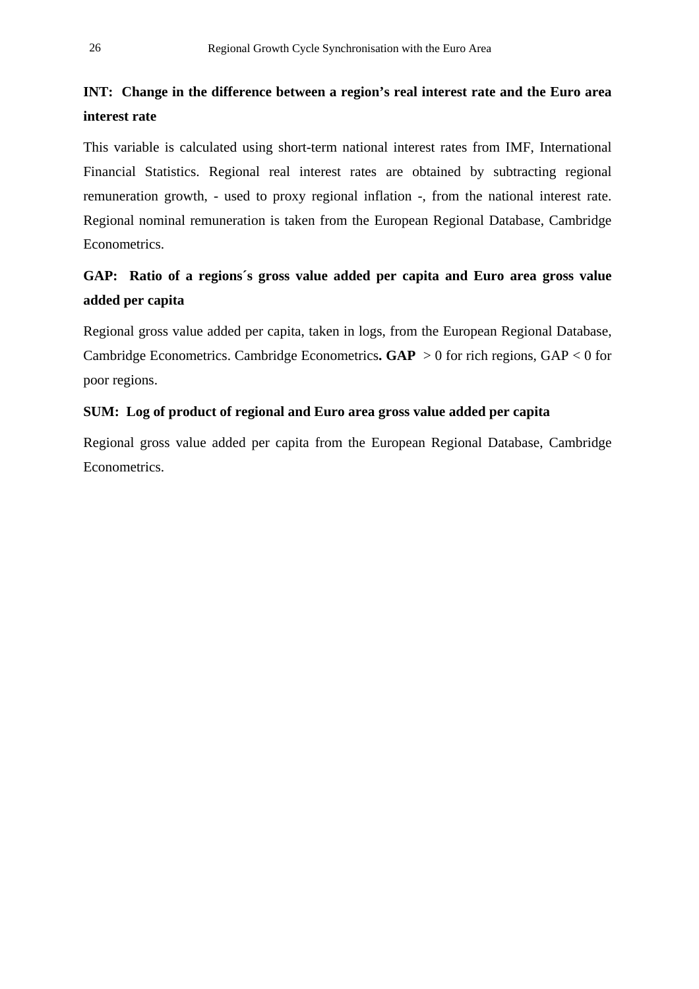# **INT: Change in the difference between a region's real interest rate and the Euro area interest rate**

This variable is calculated using short-term national interest rates from IMF, International Financial Statistics. Regional real interest rates are obtained by subtracting regional remuneration growth, - used to proxy regional inflation -, from the national interest rate. Regional nominal remuneration is taken from the European Regional Database, Cambridge Econometrics.

# **GAP: Ratio of a regions´s gross value added per capita and Euro area gross value added per capita**

Regional gross value added per capita, taken in logs, from the European Regional Database, Cambridge Econometrics. Cambridge Econometrics**. GAP** > 0 for rich regions, GAP < 0 for poor regions.

## **SUM: Log of product of regional and Euro area gross value added per capita**

Regional gross value added per capita from the European Regional Database, Cambridge Econometrics.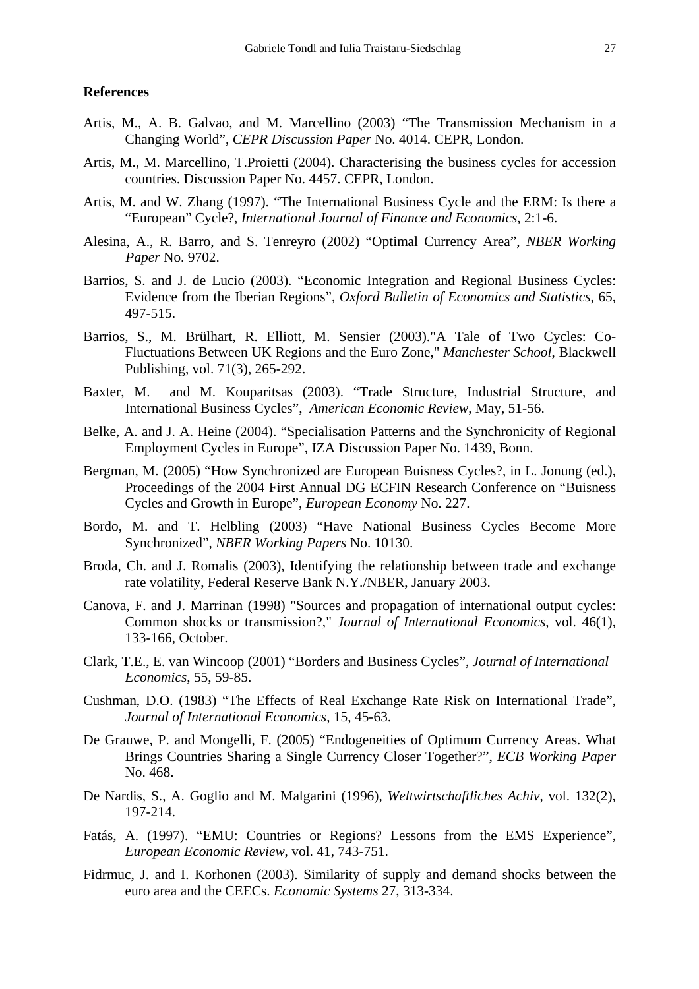#### **References**

- Artis, M., A. B. Galvao, and M. Marcellino (2003) "The Transmission Mechanism in a Changing World", *CEPR Discussion Paper* No. 4014. CEPR, London.
- Artis, M., M. Marcellino, T.Proietti (2004). Characterising the business cycles for accession countries. Discussion Paper No. 4457. CEPR, London.
- Artis, M. and W. Zhang (1997). "The International Business Cycle and the ERM: Is there a "European" Cycle?, *International Journal of Finance and Economics*, 2:1-6.
- Alesina, A., R. Barro, and S. Tenreyro (2002) "Optimal Currency Area", *NBER Working Paper* No. 9702.
- Barrios, S. and J. de Lucio (2003). "Economic Integration and Regional Business Cycles: Evidence from the Iberian Regions", *Oxford Bulletin of Economics and Statistics*, 65, 497-515.
- Barrios, S., M. Brülhart, R. Elliott, M. Sensier (2003)."A Tale of Two Cycles: Co-Fluctuations Between UK Regions and the Euro Zone," *Manchester School*, Blackwell Publishing, vol. 71(3), 265-292.
- Baxter, M. and M. Kouparitsas (2003). "Trade Structure, Industrial Structure, and International Business Cycles", *American Economic Review*, May, 51-56.
- Belke, A. and J. A. Heine (2004). "Specialisation Patterns and the Synchronicity of Regional Employment Cycles in Europe", IZA Discussion Paper No. 1439, Bonn.
- Bergman, M. (2005) "How Synchronized are European Buisness Cycles?, in L. Jonung (ed.), Proceedings of the 2004 First Annual DG ECFIN Research Conference on "Buisness Cycles and Growth in Europe", *European Economy* No. 227.
- Bordo, M. and T. Helbling (2003) "Have National Business Cycles Become More Synchronized", *NBER Working Papers* No. 10130.
- Broda, Ch. and J. Romalis (2003), Identifying the relationship between trade and exchange rate volatility, Federal Reserve Bank N.Y./NBER, January 2003.
- Canova, F. and J. Marrinan (1998) "Sources and propagation of international output cycles: Common shocks or transmission?," *Journal of International Economics*, vol. 46(1), 133-166, October.
- Clark, T.E., E. van Wincoop (2001) "Borders and Business Cycles", *Journal of International Economics*, 55, 59-85.
- Cushman, D.O. (1983) "The Effects of Real Exchange Rate Risk on International Trade", *Journal of International Economics*, 15, 45-63.
- De Grauwe, P. and Mongelli, F. (2005) "Endogeneities of Optimum Currency Areas. What Brings Countries Sharing a Single Currency Closer Together?", *ECB Working Paper*  No. 468.
- De Nardis, S., A. Goglio and M. Malgarini (1996), *Weltwirtschaftliches Achiv*, vol. 132(2), 197-214.
- Fatás, A. (1997). "EMU: Countries or Regions? Lessons from the EMS Experience", *European Economic Review*, vol. 41, 743-751.
- Fidrmuc, J. and I. Korhonen (2003). Similarity of supply and demand shocks between the euro area and the CEECs. *Economic Systems* 27, 313-334.